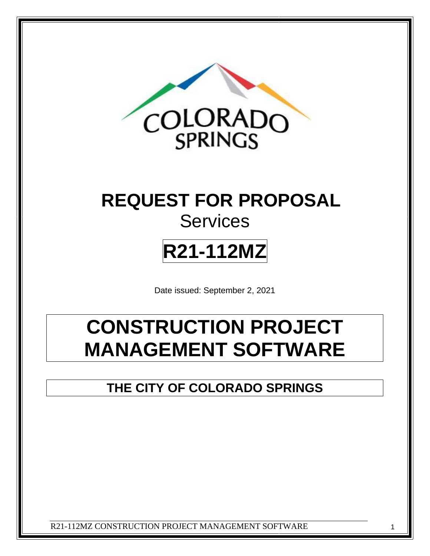

# **REQUEST FOR PROPOSAL Services**

# **R21-112MZ**

Date issued: September 2, 2021

# **CONSTRUCTION PROJECT MANAGEMENT SOFTWARE**

**THE CITY OF COLORADO SPRINGS**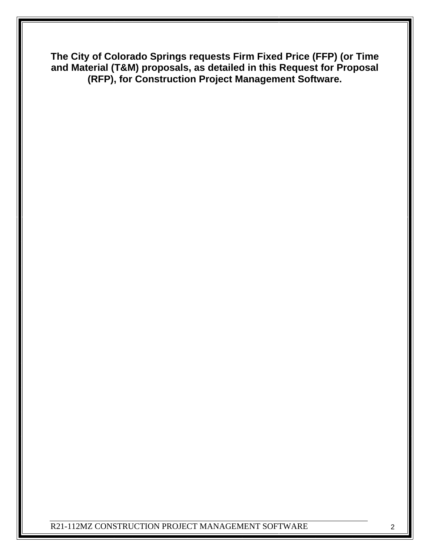**The City of Colorado Springs requests Firm Fixed Price (FFP) (or Time and Material (T&M) proposals, as detailed in this Request for Proposal (RFP), for Construction Project Management Software.**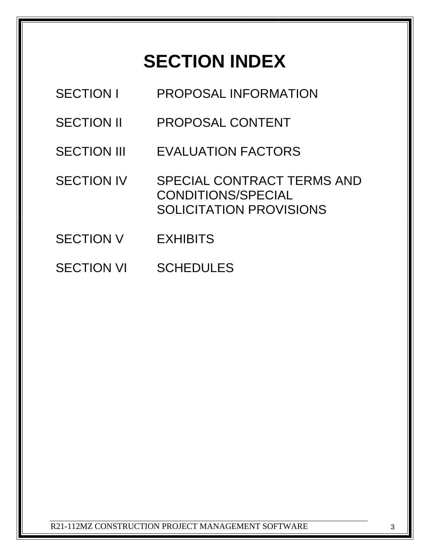# **SECTION INDEX**

| <b>SECTION I</b>   | PROPOSAL INFORMATION                                                        |
|--------------------|-----------------------------------------------------------------------------|
| <b>SECTION II</b>  | PROPOSAL CONTENT                                                            |
| <b>SECTION III</b> | <b>EVALUATION FACTORS</b>                                                   |
| <b>SECTION IV</b>  | SPECIAL CONTRACT TERMS AND<br>CONDITIONS/SPECIAL<br>SOLICITATION PROVISIONS |
| <b>SECTION V</b>   | <b>EXHIBITS</b>                                                             |
| <b>SECTION VI</b>  | <b>SCHEDULES</b>                                                            |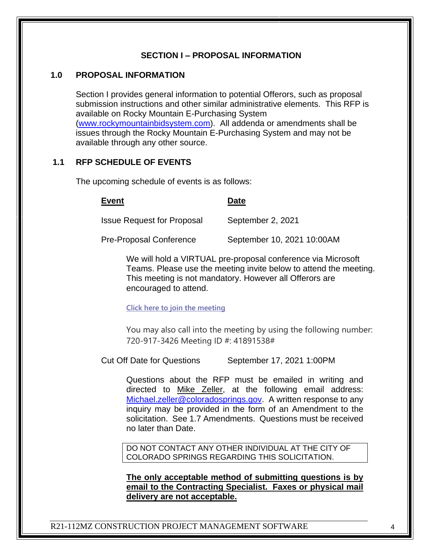#### **SECTION I – PROPOSAL INFORMATION**

#### **1.0 PROPOSAL INFORMATION**

Section I provides general information to potential Offerors, such as proposal submission instructions and other similar administrative elements. This RFP is available on Rocky Mountain E-Purchasing System [\(www.rockymountainbidsystem.com\)](http://www.rockymountainbidsystem.com/). All addenda or amendments shall be issues through the Rocky Mountain E-Purchasing System and may not be available through any other source.

#### **1.1 RFP SCHEDULE OF EVENTS**

The upcoming schedule of events is as follows:

#### **Event Date**

Issue Request for Proposal September 2, 2021

Pre-Proposal Conference September 10, 2021 10:00AM

We will hold a VIRTUAL pre-proposal conference via Microsoft Teams. Please use the meeting invite below to attend the meeting. This meeting is not mandatory. However all Offerors are encouraged to attend.

#### **[Click here to join the meeting](https://teams.microsoft.com/l/meetup-join/19%3ameeting_ODEwZTdmMzUtOTRlMi00YzJlLTgxMWQtZmJkMGU5Y2U1ZGY3%40thread.v2/0?context=%7b%22Tid%22%3a%2290f74bf0-a593-4c12-9591-fb8ef4ba6ad1%22%2c%22Oid%22%3a%224352bfae-e555-435e-b5dc-0606b1985219%22%7d)**

You may also call into the meeting by using the following number: 720-917-3426 Meeting ID #: 41891538#

Cut Off Date for Questions September 17, 2021 1:00PM

Questions about the RFP must be emailed in writing and directed to Mike Zeller, at the following email address: [Michael.zeller@coloradosprings.gov.](mailto:Michael.zeller@coloradosprings.gov) A written response to any inquiry may be provided in the form of an Amendment to the solicitation. See 1.7 Amendments. Questions must be received no later than Date.

DO NOT CONTACT ANY OTHER INDIVIDUAL AT THE CITY OF COLORADO SPRINGS REGARDING THIS SOLICITATION.

**The only acceptable method of submitting questions is by email to the Contracting Specialist. Faxes or physical mail delivery are not acceptable.**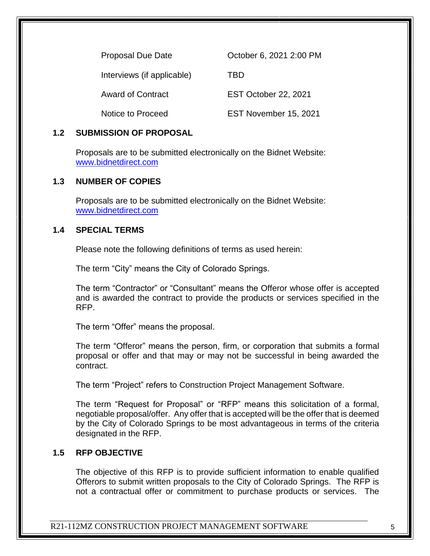| <b>Proposal Due Date</b>   | October 6, 2021 2:00 PM |
|----------------------------|-------------------------|
| Interviews (if applicable) | TBD                     |
| <b>Award of Contract</b>   | EST October 22, 2021    |
| Notice to Proceed          | EST November 15, 2021   |

#### **1.2 SUBMISSION OF PROPOSAL**

Proposals are to be submitted electronically on the Bidnet Website: [www.bidnetdirect.com](http://www.bidnetdirect.com/)

#### **1.3 NUMBER OF COPIES**

Proposals are to be submitted electronically on the Bidnet Website: [www.bidnetdirect.com](http://www.bidnetdirect.com/)

#### **1.4 SPECIAL TERMS**

Please note the following definitions of terms as used herein:

The term "City" means the City of Colorado Springs.

The term "Contractor" or "Consultant" means the Offeror whose offer is accepted and is awarded the contract to provide the products or services specified in the RFP.

The term "Offer" means the proposal.

The term "Offeror" means the person, firm, or corporation that submits a formal proposal or offer and that may or may not be successful in being awarded the contract.

The term "Project" refers to Construction Project Management Software.

The term "Request for Proposal" or "RFP" means this solicitation of a formal, negotiable proposal/offer. Any offer that is accepted will be the offer that is deemed by the City of Colorado Springs to be most advantageous in terms of the criteria designated in the RFP.

#### **1.5 RFP OBJECTIVE**

The objective of this RFP is to provide sufficient information to enable qualified Offerors to submit written proposals to the City of Colorado Springs. The RFP is not a contractual offer or commitment to purchase products or services. The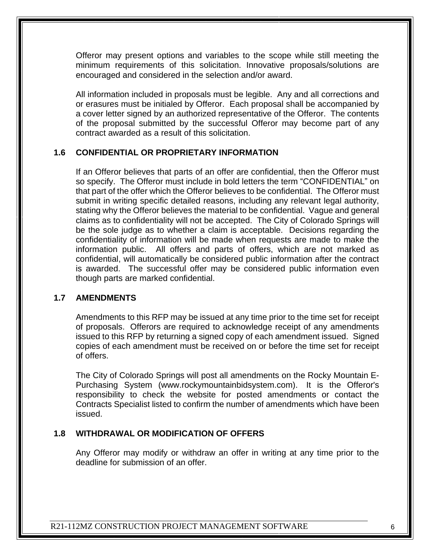Offeror may present options and variables to the scope while still meeting the minimum requirements of this solicitation. Innovative proposals/solutions are encouraged and considered in the selection and/or award.

All information included in proposals must be legible. Any and all corrections and or erasures must be initialed by Offeror. Each proposal shall be accompanied by a cover letter signed by an authorized representative of the Offeror. The contents of the proposal submitted by the successful Offeror may become part of any contract awarded as a result of this solicitation.

#### **1.6 CONFIDENTIAL OR PROPRIETARY INFORMATION**

If an Offeror believes that parts of an offer are confidential, then the Offeror must so specify. The Offeror must include in bold letters the term "CONFIDENTIAL" on that part of the offer which the Offeror believes to be confidential. The Offeror must submit in writing specific detailed reasons, including any relevant legal authority, stating why the Offeror believes the material to be confidential. Vague and general claims as to confidentiality will not be accepted. The City of Colorado Springs will be the sole judge as to whether a claim is acceptable. Decisions regarding the confidentiality of information will be made when requests are made to make the information public. All offers and parts of offers, which are not marked as confidential, will automatically be considered public information after the contract is awarded. The successful offer may be considered public information even though parts are marked confidential.

#### **1.7 AMENDMENTS**

Amendments to this RFP may be issued at any time prior to the time set for receipt of proposals. Offerors are required to acknowledge receipt of any amendments issued to this RFP by returning a signed copy of each amendment issued. Signed copies of each amendment must be received on or before the time set for receipt of offers.

The City of Colorado Springs will post all amendments on the [Rocky Mountain E-](http://www.rockymountainbidsystem.com/)[Purchasing System](http://www.rockymountainbidsystem.com/) (www.rockymountainbidsystem.com). It is the Offeror's responsibility to check the website for posted amendments or contact the Contracts Specialist listed to confirm the number of amendments which have been issued.

#### **1.8 WITHDRAWAL OR MODIFICATION OF OFFERS**

Any Offeror may modify or withdraw an offer in writing at any time prior to the deadline for submission of an offer.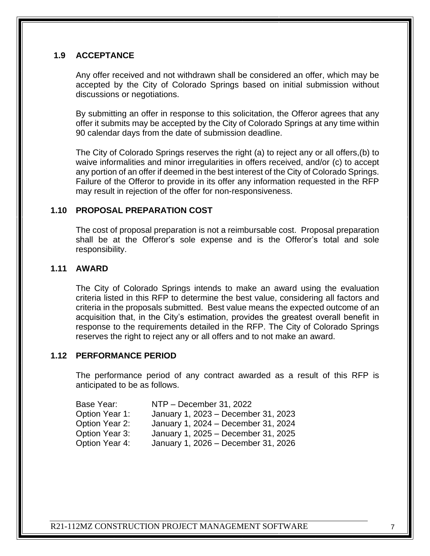# **1.9 ACCEPTANCE**

Any offer received and not withdrawn shall be considered an offer, which may be accepted by the City of Colorado Springs based on initial submission without discussions or negotiations.

By submitting an offer in response to this solicitation, the Offeror agrees that any offer it submits may be accepted by the City of Colorado Springs at any time within 90 calendar days from the date of submission deadline.

The City of Colorado Springs reserves the right (a) to reject any or all offers,(b) to waive informalities and minor irregularities in offers received, and/or (c) to accept any portion of an offer if deemed in the best interest of the City of Colorado Springs. Failure of the Offeror to provide in its offer any information requested in the RFP may result in rejection of the offer for non-responsiveness.

#### **1.10 PROPOSAL PREPARATION COST**

The cost of proposal preparation is not a reimbursable cost. Proposal preparation shall be at the Offeror's sole expense and is the Offeror's total and sole responsibility.

#### **1.11 AWARD**

The City of Colorado Springs intends to make an award using the evaluation criteria listed in this RFP to determine the best value, considering all factors and criteria in the proposals submitted. Best value means the expected outcome of an acquisition that, in the City's estimation, provides the greatest overall benefit in response to the requirements detailed in the RFP. The City of Colorado Springs reserves the right to reject any or all offers and to not make an award.

#### **1.12 PERFORMANCE PERIOD**

The performance period of any contract awarded as a result of this RFP is anticipated to be as follows.

| NTP - December 31, 2022             |
|-------------------------------------|
| January 1, 2023 - December 31, 2023 |
| January 1, 2024 - December 31, 2024 |
| January 1, 2025 - December 31, 2025 |
| January 1, 2026 - December 31, 2026 |
|                                     |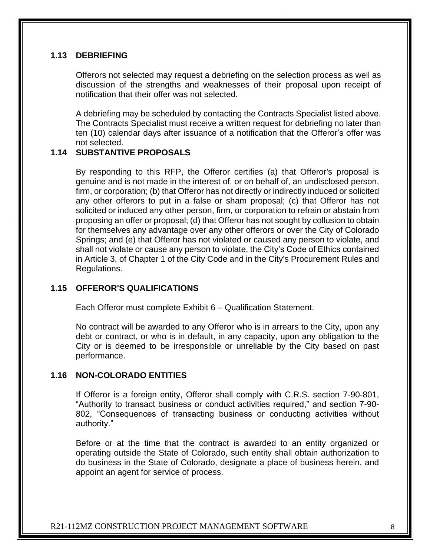### **1.13 DEBRIEFING**

Offerors not selected may request a debriefing on the selection process as well as discussion of the strengths and weaknesses of their proposal upon receipt of notification that their offer was not selected.

A debriefing may be scheduled by contacting the Contracts Specialist listed above. The Contracts Specialist must receive a written request for debriefing no later than ten (10) calendar days after issuance of a notification that the Offeror's offer was not selected.

#### **1.14 SUBSTANTIVE PROPOSALS**

By responding to this RFP, the Offeror certifies (a) that Offeror's proposal is genuine and is not made in the interest of, or on behalf of, an undisclosed person, firm, or corporation; (b) that Offeror has not directly or indirectly induced or solicited any other offerors to put in a false or sham proposal; (c) that Offeror has not solicited or induced any other person, firm, or corporation to refrain or abstain from proposing an offer or proposal; (d) that Offeror has not sought by collusion to obtain for themselves any advantage over any other offerors or over the City of Colorado Springs; and (e) that Offeror has not violated or caused any person to violate, and shall not violate or cause any person to violate, the City's Code of Ethics contained in Article 3, of Chapter 1 of the City Code and in the City's Procurement Rules and Regulations.

#### **1.15 OFFEROR'S QUALIFICATIONS**

Each Offeror must complete Exhibit 6 – Qualification Statement.

No contract will be awarded to any Offeror who is in arrears to the City, upon any debt or contract, or who is in default, in any capacity, upon any obligation to the City or is deemed to be irresponsible or unreliable by the City based on past performance.

#### **1.16 NON-COLORADO ENTITIES**

If Offeror is a foreign entity, Offeror shall comply with C.R.S. section 7-90-801, "Authority to transact business or conduct activities required," and section 7-90- 802, "Consequences of transacting business or conducting activities without authority."

Before or at the time that the contract is awarded to an entity organized or operating outside the State of Colorado, such entity shall obtain authorization to do business in the State of Colorado, designate a place of business herein, and appoint an agent for service of process.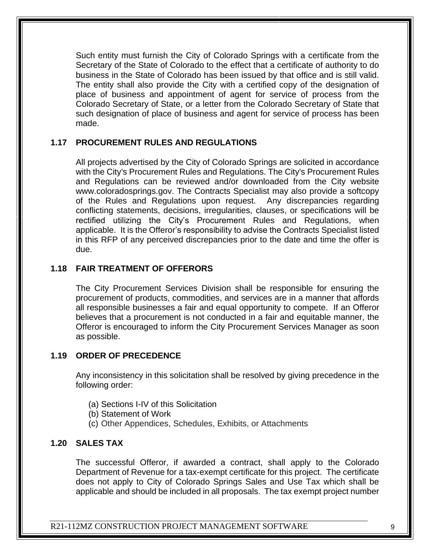Such entity must furnish the City of Colorado Springs with a certificate from the Secretary of the State of Colorado to the effect that a certificate of authority to do business in the State of Colorado has been issued by that office and is still valid. The entity shall also provide the City with a certified copy of the designation of place of business and appointment of agent for service of process from the Colorado Secretary of State, or a letter from the Colorado Secretary of State that such designation of place of business and agent for service of process has been made.

#### **1.17 PROCUREMENT RULES AND REGULATIONS**

All projects advertised by the City of Colorado Springs are solicited in accordance with the City's Procurement Rules and Regulations. The City's Procurement Rules and Regulations can be reviewed and/or downloaded from the City website www.coloradosprings.gov. The Contracts Specialist may also provide a softcopy of the Rules and Regulations upon request. Any discrepancies regarding conflicting statements, decisions, irregularities, clauses, or specifications will be rectified utilizing the City's Procurement Rules and Regulations, when applicable. It is the Offeror's responsibility to advise the Contracts Specialist listed in this RFP of any perceived discrepancies prior to the date and time the offer is due.

#### **1.18 FAIR TREATMENT OF OFFERORS**

The City Procurement Services Division shall be responsible for ensuring the procurement of products, commodities, and services are in a manner that affords all responsible businesses a fair and equal opportunity to compete. If an Offeror believes that a procurement is not conducted in a fair and equitable manner, the Offeror is encouraged to inform the City Procurement Services Manager as soon as possible.

#### **1.19 ORDER OF PRECEDENCE**

Any inconsistency in this solicitation shall be resolved by giving precedence in the following order:

- (a) Sections I-IV of this Solicitation
- (b) Statement of Work
- (c) Other Appendices, Schedules, Exhibits, or Attachments

#### **1.20 SALES TAX**

The successful Offeror, if awarded a contract, shall apply to the Colorado Department of Revenue for a tax-exempt certificate for this project. The certificate does not apply to City of Colorado Springs Sales and Use Tax which shall be applicable and should be included in all proposals. The tax exempt project number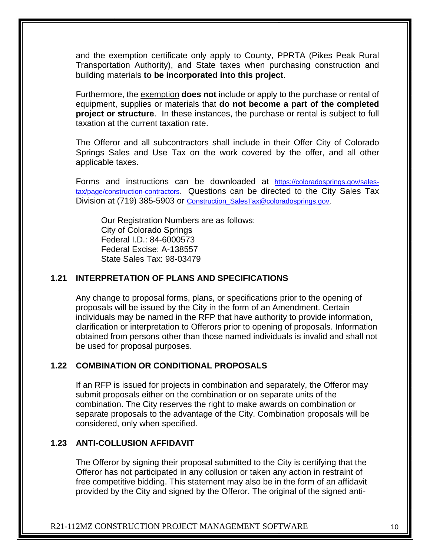and the exemption certificate only apply to County, PPRTA (Pikes Peak Rural Transportation Authority), and State taxes when purchasing construction and building materials **to be incorporated into this project**.

Furthermore, the exemption **does not** include or apply to the purchase or rental of equipment, supplies or materials that **do not become a part of the completed project or structure**. In these instances, the purchase or rental is subject to full taxation at the current taxation rate.

The Offeror and all subcontractors shall include in their Offer City of Colorado Springs Sales and Use Tax on the work covered by the offer, and all other applicable taxes.

Forms and instructions can be downloaded at [https://coloradosprings.gov/sales](https://coloradosprings.gov/sales-tax/page/construction-contractors)[tax/page/construction-contractors](https://coloradosprings.gov/sales-tax/page/construction-contractors). Questions can be directed to the City Sales Tax Division at (719) 385-5903 or Construction SalesTax@coloradosprings.gov.

Our Registration Numbers are as follows: City of Colorado Springs Federal I.D.: 84-6000573 Federal Excise: A-138557 State Sales Tax: 98-03479

# **1.21 INTERPRETATION OF PLANS AND SPECIFICATIONS**

Any change to proposal forms, plans, or specifications prior to the opening of proposals will be issued by the City in the form of an Amendment. Certain individuals may be named in the RFP that have authority to provide information, clarification or interpretation to Offerors prior to opening of proposals. Information obtained from persons other than those named individuals is invalid and shall not be used for proposal purposes.

#### **1.22 COMBINATION OR CONDITIONAL PROPOSALS**

If an RFP is issued for projects in combination and separately, the Offeror may submit proposals either on the combination or on separate units of the combination. The City reserves the right to make awards on combination or separate proposals to the advantage of the City. Combination proposals will be considered, only when specified.

#### **1.23 ANTI-COLLUSION AFFIDAVIT**

The Offeror by signing their proposal submitted to the City is certifying that the Offeror has not participated in any collusion or taken any action in restraint of free competitive bidding. This statement may also be in the form of an affidavit provided by the City and signed by the Offeror. The original of the signed anti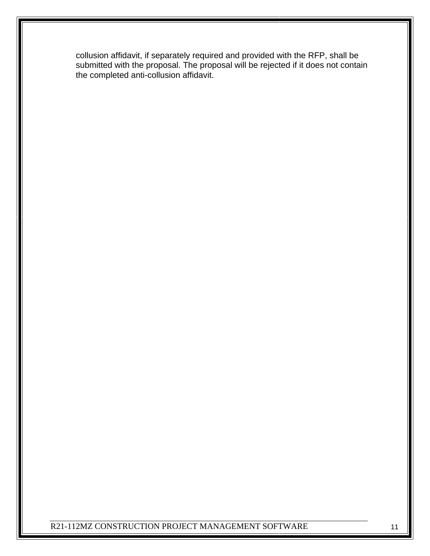collusion affidavit, if separately required and provided with the RFP, shall be submitted with the proposal. The proposal will be rejected if it does not contain the completed anti-collusion affidavit.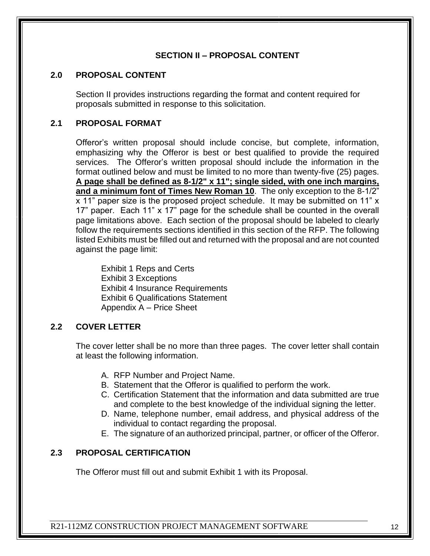#### **SECTION II – PROPOSAL CONTENT**

#### **2.0 PROPOSAL CONTENT**

Section II provides instructions regarding the format and content required for proposals submitted in response to this solicitation.

# **2.1 PROPOSAL FORMAT**

Offeror's written proposal should include concise, but complete, information, emphasizing why the Offeror is best or best qualified to provide the required services. The Offeror's written proposal should include the information in the format outlined below and must be limited to no more than twenty-five (25) pages. **A page shall be defined as 8-1/2" x 11"; single sided, with one inch margins, and a minimum font of Times New Roman 10**. The only exception to the 8-1/2" x 11" paper size is the proposed project schedule. It may be submitted on 11" x 17" paper. Each 11" x 17" page for the schedule shall be counted in the overall page limitations above. Each section of the proposal should be labeled to clearly follow the requirements sections identified in this section of the RFP. The following listed Exhibits must be filled out and returned with the proposal and are not counted against the page limit:

Exhibit 1 Reps and Certs Exhibit 3 Exceptions Exhibit 4 Insurance Requirements Exhibit 6 Qualifications Statement Appendix A – Price Sheet

# **2.2 COVER LETTER**

The cover letter shall be no more than three pages. The cover letter shall contain at least the following information.

- A. RFP Number and Project Name.
- B. Statement that the Offeror is qualified to perform the work.
- C. Certification Statement that the information and data submitted are true and complete to the best knowledge of the individual signing the letter.
- D. Name, telephone number, email address, and physical address of the individual to contact regarding the proposal.
- E. The signature of an authorized principal, partner, or officer of the Offeror.

# **2.3 PROPOSAL CERTIFICATION**

The Offeror must fill out and submit Exhibit 1 with its Proposal.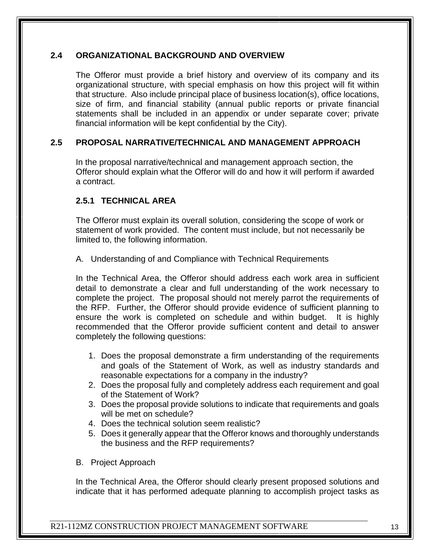#### **2.4 ORGANIZATIONAL BACKGROUND AND OVERVIEW**

The Offeror must provide a brief history and overview of its company and its organizational structure, with special emphasis on how this project will fit within that structure. Also include principal place of business location(s), office locations, size of firm, and financial stability (annual public reports or private financial statements shall be included in an appendix or under separate cover; private financial information will be kept confidential by the City).

#### **2.5 PROPOSAL NARRATIVE/TECHNICAL AND MANAGEMENT APPROACH**

In the proposal narrative/technical and management approach section, the Offeror should explain what the Offeror will do and how it will perform if awarded a contract.

#### **2.5.1 TECHNICAL AREA**

The Offeror must explain its overall solution, considering the scope of work or statement of work provided. The content must include, but not necessarily be limited to, the following information.

A. Understanding of and Compliance with Technical Requirements

In the Technical Area, the Offeror should address each work area in sufficient detail to demonstrate a clear and full understanding of the work necessary to complete the project. The proposal should not merely parrot the requirements of the RFP. Further, the Offeror should provide evidence of sufficient planning to ensure the work is completed on schedule and within budget. It is highly recommended that the Offeror provide sufficient content and detail to answer completely the following questions:

- 1. Does the proposal demonstrate a firm understanding of the requirements and goals of the Statement of Work, as well as industry standards and reasonable expectations for a company in the industry?
- 2. Does the proposal fully and completely address each requirement and goal of the Statement of Work?
- 3. Does the proposal provide solutions to indicate that requirements and goals will be met on schedule?
- 4. Does the technical solution seem realistic?
- 5. Does it generally appear that the Offeror knows and thoroughly understands the business and the RFP requirements?
- B. Project Approach

In the Technical Area, the Offeror should clearly present proposed solutions and indicate that it has performed adequate planning to accomplish project tasks as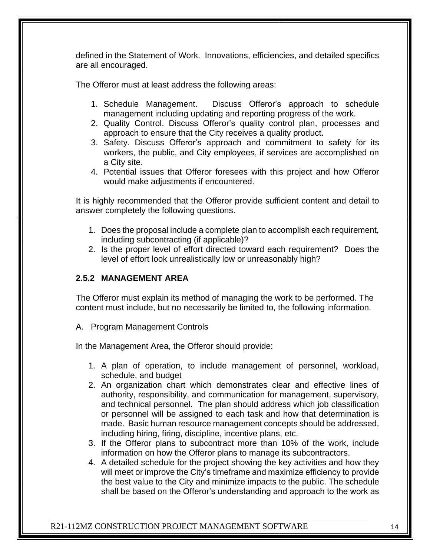defined in the Statement of Work. Innovations, efficiencies, and detailed specifics are all encouraged.

The Offeror must at least address the following areas:

- 1. Schedule Management. Discuss Offeror's approach to schedule management including updating and reporting progress of the work.
- 2. Quality Control. Discuss Offeror's quality control plan, processes and approach to ensure that the City receives a quality product.
- 3. Safety. Discuss Offeror's approach and commitment to safety for its workers, the public, and City employees, if services are accomplished on a City site.
- 4. Potential issues that Offeror foresees with this project and how Offeror would make adjustments if encountered.

It is highly recommended that the Offeror provide sufficient content and detail to answer completely the following questions.

- 1. Does the proposal include a complete plan to accomplish each requirement, including subcontracting (if applicable)?
- 2. Is the proper level of effort directed toward each requirement? Does the level of effort look unrealistically low or unreasonably high?

### **2.5.2 MANAGEMENT AREA**

The Offeror must explain its method of managing the work to be performed. The content must include, but no necessarily be limited to, the following information.

A. Program Management Controls

In the Management Area, the Offeror should provide:

- 1. A plan of operation, to include management of personnel, workload, schedule, and budget
- 2. An organization chart which demonstrates clear and effective lines of authority, responsibility, and communication for management, supervisory, and technical personnel. The plan should address which job classification or personnel will be assigned to each task and how that determination is made. Basic human resource management concepts should be addressed, including hiring, firing, discipline, incentive plans, etc.
- 3. If the Offeror plans to subcontract more than 10% of the work, include information on how the Offeror plans to manage its subcontractors.
- 4. A detailed schedule for the project showing the key activities and how they will meet or improve the City's timeframe and maximize efficiency to provide the best value to the City and minimize impacts to the public. The schedule shall be based on the Offeror's understanding and approach to the work as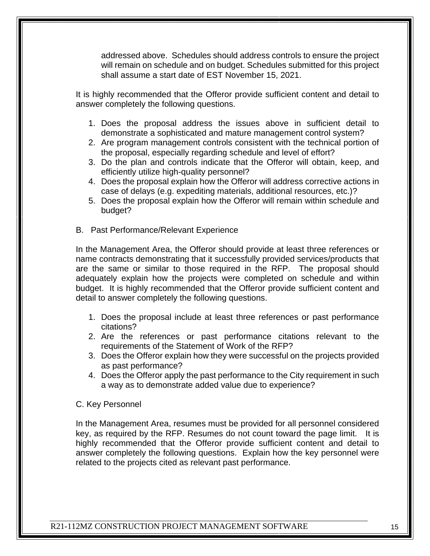addressed above. Schedules should address controls to ensure the project will remain on schedule and on budget. Schedules submitted for this project shall assume a start date of EST November 15, 2021.

It is highly recommended that the Offeror provide sufficient content and detail to answer completely the following questions.

- 1. Does the proposal address the issues above in sufficient detail to demonstrate a sophisticated and mature management control system?
- 2. Are program management controls consistent with the technical portion of the proposal, especially regarding schedule and level of effort?
- 3. Do the plan and controls indicate that the Offeror will obtain, keep, and efficiently utilize high-quality personnel?
- 4. Does the proposal explain how the Offeror will address corrective actions in case of delays (e.g. expediting materials, additional resources, etc.)?
- 5. Does the proposal explain how the Offeror will remain within schedule and budget?
- B. Past Performance/Relevant Experience

In the Management Area, the Offeror should provide at least three references or name contracts demonstrating that it successfully provided services/products that are the same or similar to those required in the RFP. The proposal should adequately explain how the projects were completed on schedule and within budget. It is highly recommended that the Offeror provide sufficient content and detail to answer completely the following questions.

- 1. Does the proposal include at least three references or past performance citations?
- 2. Are the references or past performance citations relevant to the requirements of the Statement of Work of the RFP?
- 3. Does the Offeror explain how they were successful on the projects provided as past performance?
- 4. Does the Offeror apply the past performance to the City requirement in such a way as to demonstrate added value due to experience?
- C. Key Personnel

In the Management Area, resumes must be provided for all personnel considered key, as required by the RFP. Resumes do not count toward the page limit. It is highly recommended that the Offeror provide sufficient content and detail to answer completely the following questions. Explain how the key personnel were related to the projects cited as relevant past performance.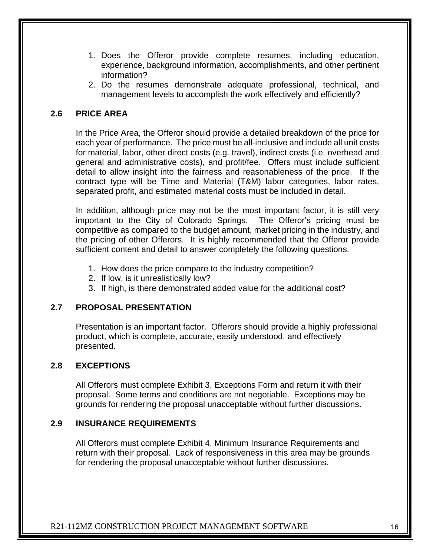- 1. Does the Offeror provide complete resumes, including education, experience, background information, accomplishments, and other pertinent information?
- 2. Do the resumes demonstrate adequate professional, technical, and management levels to accomplish the work effectively and efficiently?

# **2.6 PRICE AREA**

In the Price Area, the Offeror should provide a detailed breakdown of the price for each year of performance. The price must be all-inclusive and include all unit costs for material, labor, other direct costs (e.g. travel), indirect costs (i.e. overhead and general and administrative costs), and profit/fee. Offers must include sufficient detail to allow insight into the fairness and reasonableness of the price. If the contract type will be Time and Material (T&M) labor categories, labor rates, separated profit, and estimated material costs must be included in detail.

In addition, although price may not be the most important factor, it is still very important to the City of Colorado Springs. The Offeror's pricing must be competitive as compared to the budget amount, market pricing in the industry, and the pricing of other Offerors. It is highly recommended that the Offeror provide sufficient content and detail to answer completely the following questions.

- 1. How does the price compare to the industry competition?
- 2. If low, is it unrealistically low?
- 3. If high, is there demonstrated added value for the additional cost?

#### **2.7 PROPOSAL PRESENTATION**

Presentation is an important factor. Offerors should provide a highly professional product, which is complete, accurate, easily understood, and effectively presented.

#### **2.8 EXCEPTIONS**

All Offerors must complete Exhibit 3, Exceptions Form and return it with their proposal. Some terms and conditions are not negotiable. Exceptions may be grounds for rendering the proposal unacceptable without further discussions.

#### **2.9 INSURANCE REQUIREMENTS**

All Offerors must complete Exhibit 4, Minimum Insurance Requirements and return with their proposal. Lack of responsiveness in this area may be grounds for rendering the proposal unacceptable without further discussions.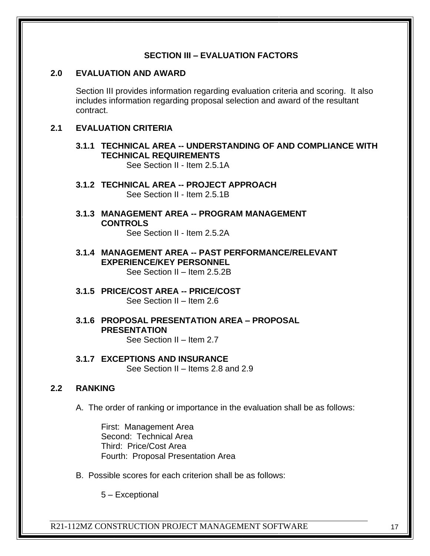#### **SECTION III – EVALUATION FACTORS**

#### **2.0 EVALUATION AND AWARD**

Section III provides information regarding evaluation criteria and scoring. It also includes information regarding proposal selection and award of the resultant contract.

#### **2.1 EVALUATION CRITERIA**

### **3.1.1 TECHNICAL AREA -- UNDERSTANDING OF AND COMPLIANCE WITH TECHNICAL REQUIREMENTS**

See Section II - Item 2.5.1A

- **3.1.2 TECHNICAL AREA -- PROJECT APPROACH** See Section II - Item 2.5.1B
- **3.1.3 MANAGEMENT AREA -- PROGRAM MANAGEMENT CONTROLS**

See Section II - Item 2.5.2A

- **3.1.4 MANAGEMENT AREA -- PAST PERFORMANCE/RELEVANT EXPERIENCE/KEY PERSONNEL** See Section II – Item 2.5.2B
- **3.1.5 PRICE/COST AREA -- PRICE/COST**  See Section II – Item 2.6
- **3.1.6 PROPOSAL PRESENTATION AREA – PROPOSAL PRESENTATION**

See Section II – Item 2.7

#### **3.1.7 EXCEPTIONS AND INSURANCE**

See Section II – Items 2.8 and 2.9

#### **2.2 RANKING**

A. The order of ranking or importance in the evaluation shall be as follows:

First: Management Area Second: Technical Area Third: Price/Cost Area Fourth: Proposal Presentation Area

B. Possible scores for each criterion shall be as follows:

5 – Exceptional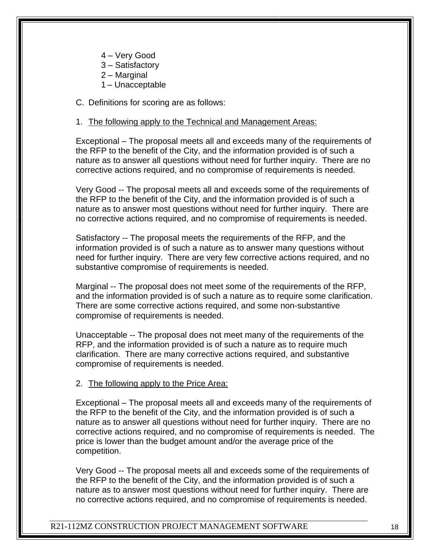- 4 Very Good
- 3 Satisfactory
- 2 Marginal
- 1 Unacceptable

C. Definitions for scoring are as follows:

#### 1. The following apply to the Technical and Management Areas:

Exceptional – The proposal meets all and exceeds many of the requirements of the RFP to the benefit of the City, and the information provided is of such a nature as to answer all questions without need for further inquiry. There are no corrective actions required, and no compromise of requirements is needed.

Very Good -- The proposal meets all and exceeds some of the requirements of the RFP to the benefit of the City, and the information provided is of such a nature as to answer most questions without need for further inquiry. There are no corrective actions required, and no compromise of requirements is needed.

Satisfactory -- The proposal meets the requirements of the RFP, and the information provided is of such a nature as to answer many questions without need for further inquiry. There are very few corrective actions required, and no substantive compromise of requirements is needed.

Marginal -- The proposal does not meet some of the requirements of the RFP, and the information provided is of such a nature as to require some clarification. There are some corrective actions required, and some non-substantive compromise of requirements is needed.

Unacceptable -- The proposal does not meet many of the requirements of the RFP, and the information provided is of such a nature as to require much clarification. There are many corrective actions required, and substantive compromise of requirements is needed.

#### 2. The following apply to the Price Area:

Exceptional – The proposal meets all and exceeds many of the requirements of the RFP to the benefit of the City, and the information provided is of such a nature as to answer all questions without need for further inquiry. There are no corrective actions required, and no compromise of requirements is needed. The price is lower than the budget amount and/or the average price of the competition.

Very Good -- The proposal meets all and exceeds some of the requirements of the RFP to the benefit of the City, and the information provided is of such a nature as to answer most questions without need for further inquiry. There are no corrective actions required, and no compromise of requirements is needed.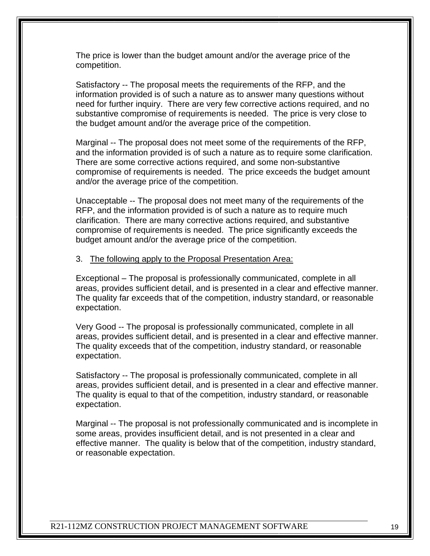The price is lower than the budget amount and/or the average price of the competition.

Satisfactory -- The proposal meets the requirements of the RFP, and the information provided is of such a nature as to answer many questions without need for further inquiry. There are very few corrective actions required, and no substantive compromise of requirements is needed. The price is very close to the budget amount and/or the average price of the competition.

Marginal -- The proposal does not meet some of the requirements of the RFP, and the information provided is of such a nature as to require some clarification. There are some corrective actions required, and some non-substantive compromise of requirements is needed. The price exceeds the budget amount and/or the average price of the competition.

Unacceptable -- The proposal does not meet many of the requirements of the RFP, and the information provided is of such a nature as to require much clarification. There are many corrective actions required, and substantive compromise of requirements is needed. The price significantly exceeds the budget amount and/or the average price of the competition.

#### 3. The following apply to the Proposal Presentation Area:

Exceptional – The proposal is professionally communicated, complete in all areas, provides sufficient detail, and is presented in a clear and effective manner. The quality far exceeds that of the competition, industry standard, or reasonable expectation.

Very Good -- The proposal is professionally communicated, complete in all areas, provides sufficient detail, and is presented in a clear and effective manner. The quality exceeds that of the competition, industry standard, or reasonable expectation.

Satisfactory -- The proposal is professionally communicated, complete in all areas, provides sufficient detail, and is presented in a clear and effective manner. The quality is equal to that of the competition, industry standard, or reasonable expectation.

Marginal -- The proposal is not professionally communicated and is incomplete in some areas, provides insufficient detail, and is not presented in a clear and effective manner. The quality is below that of the competition, industry standard, or reasonable expectation.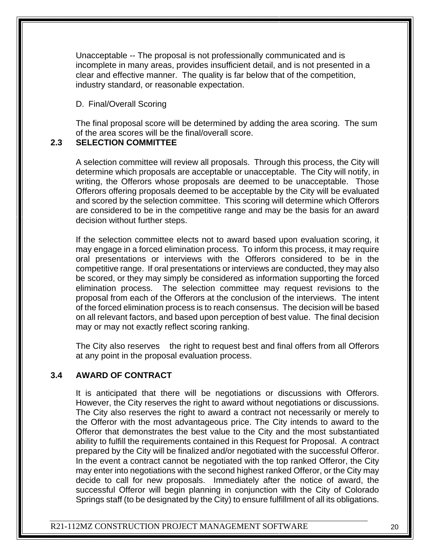Unacceptable -- The proposal is not professionally communicated and is incomplete in many areas, provides insufficient detail, and is not presented in a clear and effective manner. The quality is far below that of the competition, industry standard, or reasonable expectation.

#### D. Final/Overall Scoring

The final proposal score will be determined by adding the area scoring. The sum of the area scores will be the final/overall score.

### **2.3 SELECTION COMMITTEE**

A selection committee will review all proposals. Through this process, the City will determine which proposals are acceptable or unacceptable. The City will notify, in writing, the Offerors whose proposals are deemed to be unacceptable. Those Offerors offering proposals deemed to be acceptable by the City will be evaluated and scored by the selection committee. This scoring will determine which Offerors are considered to be in the competitive range and may be the basis for an award decision without further steps.

If the selection committee elects not to award based upon evaluation scoring, it may engage in a forced elimination process. To inform this process, it may require oral presentations or interviews with the Offerors considered to be in the competitive range. If oral presentations or interviews are conducted, they may also be scored, or they may simply be considered as information supporting the forced elimination process. The selection committee may request revisions to the proposal from each of the Offerors at the conclusion of the interviews. The intent of the forced elimination process is to reach consensus. The decision will be based on all relevant factors, and based upon perception of best value. The final decision may or may not exactly reflect scoring ranking.

The City also reserves the right to request best and final offers from all Offerors at any point in the proposal evaluation process.

#### **3.4 AWARD OF CONTRACT**

It is anticipated that there will be negotiations or discussions with Offerors. However, the City reserves the right to award without negotiations or discussions. The City also reserves the right to award a contract not necessarily or merely to the Offeror with the most advantageous price. The City intends to award to the Offeror that demonstrates the best value to the City and the most substantiated ability to fulfill the requirements contained in this Request for Proposal. A contract prepared by the City will be finalized and/or negotiated with the successful Offeror. In the event a contract cannot be negotiated with the top ranked Offeror, the City may enter into negotiations with the second highest ranked Offeror, or the City may decide to call for new proposals. Immediately after the notice of award, the successful Offeror will begin planning in conjunction with the City of Colorado Springs staff (to be designated by the City) to ensure fulfillment of all its obligations.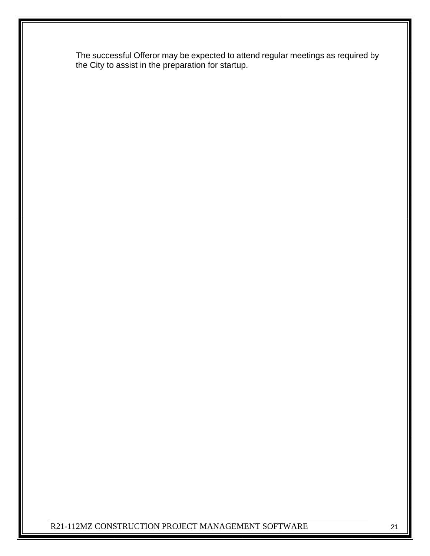The successful Offeror may be expected to attend regular meetings as required by the City to assist in the preparation for startup.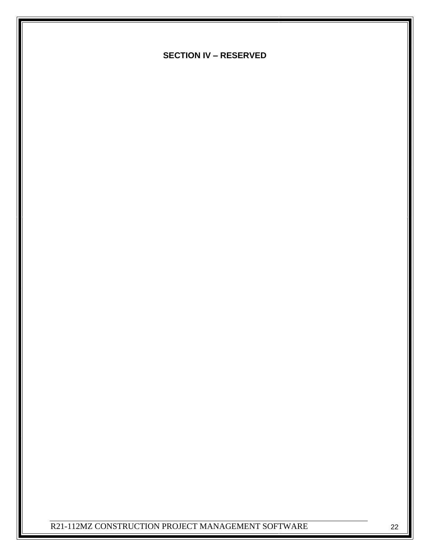**SECTION IV – RESERVED**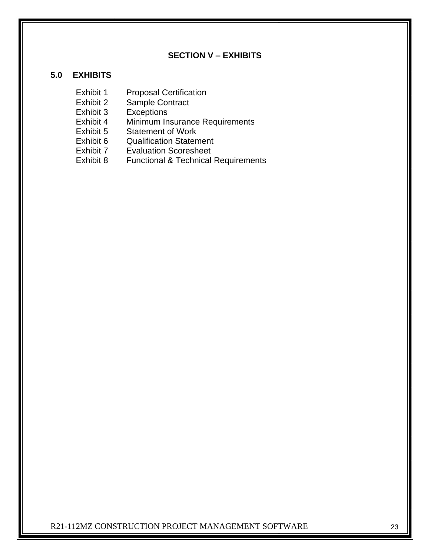# **SECTION V – EXHIBITS**

#### **5.0 EXHIBITS**

- Exhibit 1 Proposal Certification<br>Exhibit 2 Sample Contract
	- Sample Contract
- Exhibit 3 Exceptions
- Exhibit 4 Minimum Insurance Requirements
- Exhibit 5 Statement of Work
- Exhibit 6 Qualification Statement
- Exhibit 7 Evaluation Scoresheet
- Exhibit 8 Functional & Technical Requirements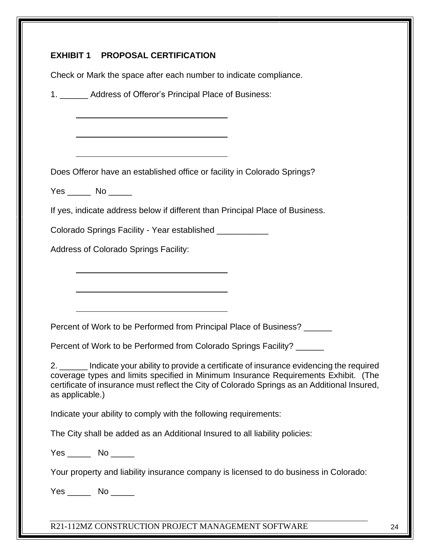|                 | Check or Mark the space after each number to indicate compliance.                                                                                                                                                                                                                    |
|-----------------|--------------------------------------------------------------------------------------------------------------------------------------------------------------------------------------------------------------------------------------------------------------------------------------|
|                 | 1. ______ Address of Offeror's Principal Place of Business:                                                                                                                                                                                                                          |
|                 |                                                                                                                                                                                                                                                                                      |
|                 |                                                                                                                                                                                                                                                                                      |
|                 | Does Offeror have an established office or facility in Colorado Springs?                                                                                                                                                                                                             |
|                 | Yes ______ No ______                                                                                                                                                                                                                                                                 |
|                 | If yes, indicate address below if different than Principal Place of Business.                                                                                                                                                                                                        |
|                 | Colorado Springs Facility - Year established ____________                                                                                                                                                                                                                            |
|                 | Address of Colorado Springs Facility:                                                                                                                                                                                                                                                |
|                 |                                                                                                                                                                                                                                                                                      |
|                 |                                                                                                                                                                                                                                                                                      |
|                 |                                                                                                                                                                                                                                                                                      |
|                 | Percent of Work to be Performed from Principal Place of Business? ______                                                                                                                                                                                                             |
|                 | Percent of Work to be Performed from Colorado Springs Facility? ______                                                                                                                                                                                                               |
| as applicable.) | 2. ______ Indicate your ability to provide a certificate of insurance evidencing the required<br>coverage types and limits specified in Minimum Insurance Requirements Exhibit. (The<br>certificate of insurance must reflect the City of Colorado Springs as an Additional Insured, |
|                 | Indicate your ability to comply with the following requirements:                                                                                                                                                                                                                     |
|                 | The City shall be added as an Additional Insured to all liability policies:                                                                                                                                                                                                          |
|                 | $Yes$ No $\_\_\_\_\$                                                                                                                                                                                                                                                                 |
|                 |                                                                                                                                                                                                                                                                                      |
|                 | Your property and liability insurance company is licensed to do business in Colorado:                                                                                                                                                                                                |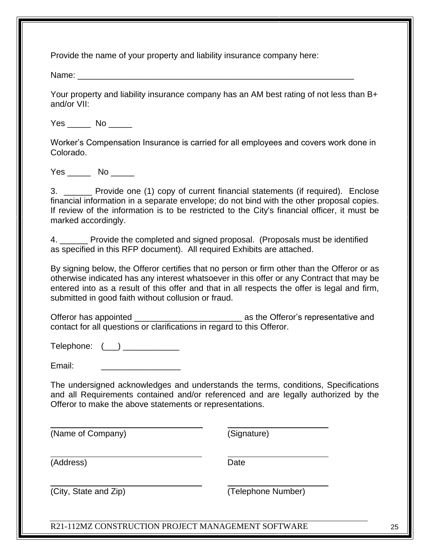Provide the name of your property and liability insurance company here:

Name: \_\_\_\_\_\_\_\_\_\_\_\_\_\_\_\_\_\_\_\_\_\_\_\_\_\_\_\_\_\_\_\_\_\_\_\_\_\_\_\_\_\_\_\_\_\_\_\_\_\_\_\_\_\_\_\_\_\_\_

Your property and liability insurance company has an AM best rating of not less than B+ and/or VII:

Yes No No

Worker's Compensation Insurance is carried for all employees and covers work done in Colorado.

Yes \_\_\_\_\_\_ No \_\_\_\_\_

3. \_\_\_\_\_\_ Provide one (1) copy of current financial statements (if required). Enclose financial information in a separate envelope; do not bind with the other proposal copies. If review of the information is to be restricted to the City's financial officer, it must be marked accordingly.

4. \_\_\_\_\_\_ Provide the completed and signed proposal. (Proposals must be identified as specified in this RFP document). All required Exhibits are attached.

By signing below, the Offeror certifies that no person or firm other than the Offeror or as otherwise indicated has any interest whatsoever in this offer or any Contract that may be entered into as a result of this offer and that in all respects the offer is legal and firm, submitted in good faith without collusion or fraud.

Offeror has appointed and the offeror's representative and  $\overline{a}$ contact for all questions or clarifications in regard to this Offeror.

 $\text{Telephone:} \quad (\_\_) \_\_\_$ 

Email: \_\_\_\_\_\_\_\_\_\_\_\_\_\_\_\_\_

The undersigned acknowledges and understands the terms, conditions, Specifications and all Requirements contained and/or referenced and are legally authorized by the Offeror to make the above statements or representations.

(Name of Company) (Signature)

 $\overline{a}$ 

(Address) Date

(City, State and Zip) (Telephone Number)

R21-112MZ CONSTRUCTION PROJECT MANAGEMENT SOFTWARE 25

 $\overline{a}$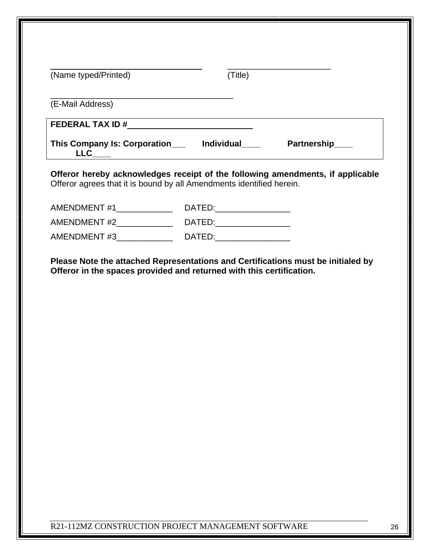| (Name typed/Printed)                                                                                                                                     | (Title) |  |
|----------------------------------------------------------------------------------------------------------------------------------------------------------|---------|--|
| (E-Mail Address)                                                                                                                                         |         |  |
|                                                                                                                                                          |         |  |
|                                                                                                                                                          |         |  |
| Offeror hereby acknowledges receipt of the following amendments, if applicable<br>Offeror agrees that it is bound by all Amendments identified herein.   |         |  |
|                                                                                                                                                          |         |  |
|                                                                                                                                                          |         |  |
|                                                                                                                                                          |         |  |
|                                                                                                                                                          |         |  |
| Please Note the attached Representations and Certifications must be initialed by<br>Offeror in the spaces provided and returned with this certification. |         |  |
|                                                                                                                                                          |         |  |
|                                                                                                                                                          |         |  |
|                                                                                                                                                          |         |  |
|                                                                                                                                                          |         |  |
|                                                                                                                                                          |         |  |
|                                                                                                                                                          |         |  |
|                                                                                                                                                          |         |  |
|                                                                                                                                                          |         |  |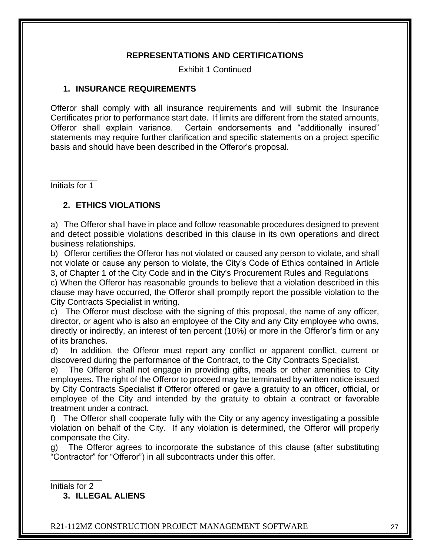#### **REPRESENTATIONS AND CERTIFICATIONS**

Exhibit 1 Continued

#### **1. INSURANCE REQUIREMENTS**

Offeror shall comply with all insurance requirements and will submit the Insurance Certificates prior to performance start date. If limits are different from the stated amounts, Offeror shall explain variance. Certain endorsements and "additionally insured" statements may require further clarification and specific statements on a project specific basis and should have been described in the Offeror's proposal.

 $\overline{\phantom{a}}$  , where  $\overline{\phantom{a}}$ Initials for 1

#### **2. ETHICS VIOLATIONS**

a) The Offeror shall have in place and follow reasonable procedures designed to prevent and detect possible violations described in this clause in its own operations and direct business relationships.

b) Offeror certifies the Offeror has not violated or caused any person to violate, and shall not violate or cause any person to violate, the City's Code of Ethics contained in Article 3, of Chapter 1 of the City Code and in the City's Procurement Rules and Regulations c) When the Offeror has reasonable grounds to believe that a violation described in this clause may have occurred, the Offeror shall promptly report the possible violation to the City Contracts Specialist in writing.

c) The Offeror must disclose with the signing of this proposal, the name of any officer, director, or agent who is also an employee of the City and any City employee who owns, directly or indirectly, an interest of ten percent (10%) or more in the Offeror's firm or any of its branches.

d) In addition, the Offeror must report any conflict or apparent conflict, current or discovered during the performance of the Contract, to the City Contracts Specialist.

e) The Offeror shall not engage in providing gifts, meals or other amenities to City employees. The right of the Offeror to proceed may be terminated by written notice issued by City Contracts Specialist if Offeror offered or gave a gratuity to an officer, official, or employee of the City and intended by the gratuity to obtain a contract or favorable treatment under a contract.

f) The Offeror shall cooperate fully with the City or any agency investigating a possible violation on behalf of the City. If any violation is determined, the Offeror will properly compensate the City.

g) The Offeror agrees to incorporate the substance of this clause (after substituting "Contractor" for "Offeror") in all subcontracts under this offer.

\_\_\_\_\_\_\_\_\_\_\_ Initials for 2

**3. ILLEGAL ALIENS**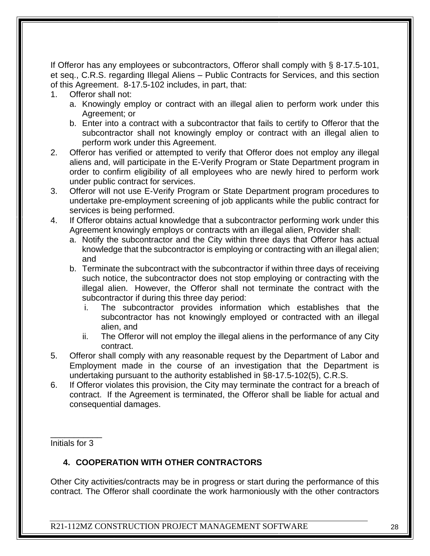If Offeror has any employees or subcontractors, Offeror shall comply with § 8-17.5-101, et seq., C.R.S. regarding Illegal Aliens – Public Contracts for Services, and this section of this Agreement. 8-17.5-102 includes, in part, that:

- 1. Offeror shall not:
	- a. Knowingly employ or contract with an illegal alien to perform work under this Agreement; or
	- b. Enter into a contract with a subcontractor that fails to certify to Offeror that the subcontractor shall not knowingly employ or contract with an illegal alien to perform work under this Agreement.
- 2. Offeror has verified or attempted to verify that Offeror does not employ any illegal aliens and, will participate in the E-Verify Program or State Department program in order to confirm eligibility of all employees who are newly hired to perform work under public contract for services.
- 3. Offeror will not use E-Verify Program or State Department program procedures to undertake pre-employment screening of job applicants while the public contract for services is being performed.
- 4. If Offeror obtains actual knowledge that a subcontractor performing work under this Agreement knowingly employs or contracts with an illegal alien, Provider shall:
	- a. Notify the subcontractor and the City within three days that Offeror has actual knowledge that the subcontractor is employing or contracting with an illegal alien; and
	- b. Terminate the subcontract with the subcontractor if within three days of receiving such notice, the subcontractor does not stop employing or contracting with the illegal alien. However, the Offeror shall not terminate the contract with the subcontractor if during this three day period:
		- i. The subcontractor provides information which establishes that the subcontractor has not knowingly employed or contracted with an illegal alien, and
		- ii. The Offeror will not employ the illegal aliens in the performance of any City contract.
- 5. Offeror shall comply with any reasonable request by the Department of Labor and Employment made in the course of an investigation that the Department is undertaking pursuant to the authority established in §8-17.5-102(5), C.R.S.
- 6. If Offeror violates this provision, the City may terminate the contract for a breach of contract. If the Agreement is terminated, the Offeror shall be liable for actual and consequential damages.

\_\_\_\_\_\_\_\_\_\_\_ Initials for 3

# **4. COOPERATION WITH OTHER CONTRACTORS**

Other City activities/contracts may be in progress or start during the performance of this contract. The Offeror shall coordinate the work harmoniously with the other contractors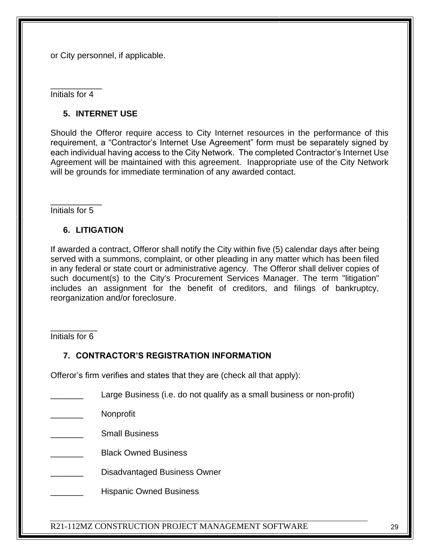or City personnel, if applicable.

\_\_\_\_\_\_\_\_\_\_\_ Initials for 4

#### **5. INTERNET USE**

Should the Offeror require access to City Internet resources in the performance of this requirement, a "Contractor's Internet Use Agreement" form must be separately signed by each individual having access to the City Network. The completed Contractor's Internet Use Agreement will be maintained with this agreement. Inappropriate use of the City Network will be grounds for immediate termination of any awarded contact.

\_\_\_\_\_\_\_\_\_\_\_ Initials for 5

#### **6. LITIGATION**

If awarded a contract, Offeror shall notify the City within five (5) calendar days after being served with a summons, complaint, or other pleading in any matter which has been filed in any federal or state court or administrative agency. The Offeror shall deliver copies of such document(s) to the City's Procurement Services Manager. The term "litigation" includes an assignment for the benefit of creditors, and filings of bankruptcy, reorganization and/or foreclosure.

\_\_\_\_\_\_\_\_\_\_ Initials for 6

#### **7. CONTRACTOR'S REGISTRATION INFORMATION**

Offeror's firm verifies and states that they are (check all that apply):

- Large Business (i.e. do not qualify as a small business or non-profit)
- \_\_\_\_\_\_\_ Nonprofit
- \_\_\_\_\_\_\_ Small Business
- \_\_\_\_\_\_\_ Black Owned Business
- Disadvantaged Business Owner
- Hispanic Owned Business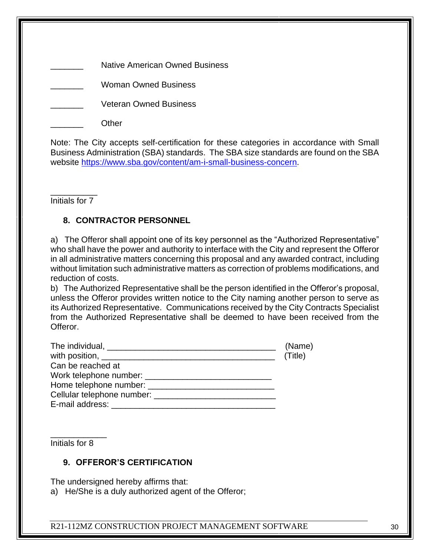Native American Owned Business

\_\_\_\_\_\_\_ Woman Owned Business

Veteran Owned Business

\_\_\_\_\_\_\_ Other

Note: The City accepts self-certification for these categories in accordance with Small Business Administration (SBA) standards. The SBA size standards are found on the SBA website [https://www.sba.gov/content/am-i-small-business-concern.](https://www.sba.gov/content/am-i-small-business-concern)

\_\_\_\_\_\_\_\_\_\_ Initials for 7

# **8. CONTRACTOR PERSONNEL**

a) The Offeror shall appoint one of its key personnel as the "Authorized Representative" who shall have the power and authority to interface with the City and represent the Offeror in all administrative matters concerning this proposal and any awarded contract, including without limitation such administrative matters as correction of problems modifications, and reduction of costs.

b) The Authorized Representative shall be the person identified in the Offeror's proposal, unless the Offeror provides written notice to the City naming another person to serve as its Authorized Representative. Communications received by the City Contracts Specialist from the Authorized Representative shall be deemed to have been received from the Offeror.

|                                                                                                                                                                                                                                | (Name)  |
|--------------------------------------------------------------------------------------------------------------------------------------------------------------------------------------------------------------------------------|---------|
|                                                                                                                                                                                                                                | (Title) |
| Can be reached at                                                                                                                                                                                                              |         |
|                                                                                                                                                                                                                                |         |
|                                                                                                                                                                                                                                |         |
| Cellular telephone number: example and the set of the set of the set of the set of the set of the set of the set of the set of the set of the set of the set of the set of the set of the set of the set of the set of the set |         |
| E-mail address:                                                                                                                                                                                                                |         |

Initials for 8

\_\_\_\_\_\_\_\_\_\_\_\_

# **9. OFFEROR'S CERTIFICATION**

The undersigned hereby affirms that:

a) He/She is a duly authorized agent of the Offeror;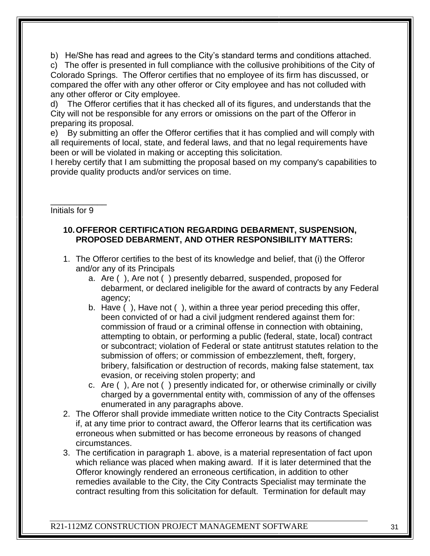b) He/She has read and agrees to the City's standard terms and conditions attached. c) The offer is presented in full compliance with the collusive prohibitions of the City of Colorado Springs. The Offeror certifies that no employee of its firm has discussed, or compared the offer with any other offeror or City employee and has not colluded with any other offeror or City employee.

d) The Offeror certifies that it has checked all of its figures, and understands that the City will not be responsible for any errors or omissions on the part of the Offeror in preparing its proposal.

e) By submitting an offer the Offeror certifies that it has complied and will comply with all requirements of local, state, and federal laws, and that no legal requirements have been or will be violated in making or accepting this solicitation.

I hereby certify that I am submitting the proposal based on my company's capabilities to provide quality products and/or services on time.

\_\_\_\_\_\_\_\_\_\_\_\_ Initials for 9

### **10.OFFEROR CERTIFICATION REGARDING DEBARMENT, SUSPENSION, PROPOSED DEBARMENT, AND OTHER RESPONSIBILITY MATTERS:**

- 1. The Offeror certifies to the best of its knowledge and belief, that (i) the Offeror and/or any of its Principals
	- a. Are ( ), Are not ( ) presently debarred, suspended, proposed for debarment, or declared ineligible for the award of contracts by any Federal agency;
	- b. Have ( ), Have not ( ), within a three year period preceding this offer, been convicted of or had a civil judgment rendered against them for: commission of fraud or a criminal offense in connection with obtaining, attempting to obtain, or performing a public (federal, state, local) contract or subcontract; violation of Federal or state antitrust statutes relation to the submission of offers; or commission of embezzlement, theft, forgery, bribery, falsification or destruction of records, making false statement, tax evasion, or receiving stolen property; and
	- c. Are ( ), Are not ( ) presently indicated for, or otherwise criminally or civilly charged by a governmental entity with, commission of any of the offenses enumerated in any paragraphs above.
- 2. The Offeror shall provide immediate written notice to the City Contracts Specialist if, at any time prior to contract award, the Offeror learns that its certification was erroneous when submitted or has become erroneous by reasons of changed circumstances.
- 3. The certification in paragraph 1. above, is a material representation of fact upon which reliance was placed when making award. If it is later determined that the Offeror knowingly rendered an erroneous certification, in addition to other remedies available to the City, the City Contracts Specialist may terminate the contract resulting from this solicitation for default. Termination for default may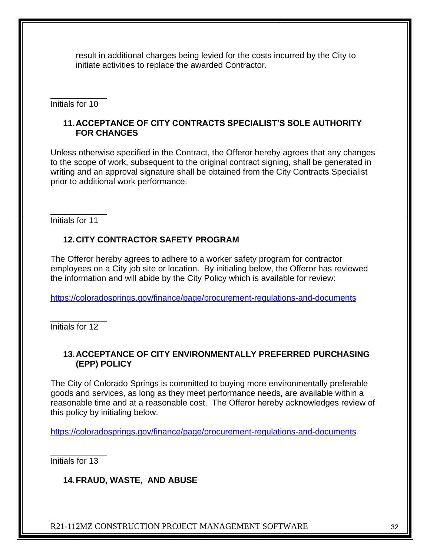result in additional charges being levied for the costs incurred by the City to initiate activities to replace the awarded Contractor.

\_\_\_\_\_\_\_\_\_\_\_\_ Initials for 10

#### **11.ACCEPTANCE OF CITY CONTRACTS SPECIALIST'S SOLE AUTHORITY FOR CHANGES**

Unless otherwise specified in the Contract, the Offeror hereby agrees that any changes to the scope of work, subsequent to the original contract signing, shall be generated in writing and an approval signature shall be obtained from the City Contracts Specialist prior to additional work performance.

\_\_\_\_\_\_\_\_\_\_\_\_ Initials for 11

# **12.CITY CONTRACTOR SAFETY PROGRAM**

The Offeror hereby agrees to adhere to a worker safety program for contractor employees on a City job site or location. By initialing below, the Offeror has reviewed the information and will abide by the City Policy which is available for review:

<https://coloradosprings.gov/finance/page/procurement-regulations-and-documents>

\_\_\_\_\_\_\_\_\_\_\_\_ Initials for 12

#### **13.ACCEPTANCE OF CITY ENVIRONMENTALLY PREFERRED PURCHASING (EPP) POLICY**

The City of Colorado Springs is committed to buying more environmentally preferable goods and services, as long as they meet performance needs, are available within a reasonable time and at a reasonable cost. The Offeror hereby acknowledges review of this policy by initialing below.

<https://coloradosprings.gov/finance/page/procurement-regulations-and-documents>

\_\_\_\_\_\_\_\_\_\_\_\_ Initials for 13

# **14.FRAUD, WASTE, AND ABUSE**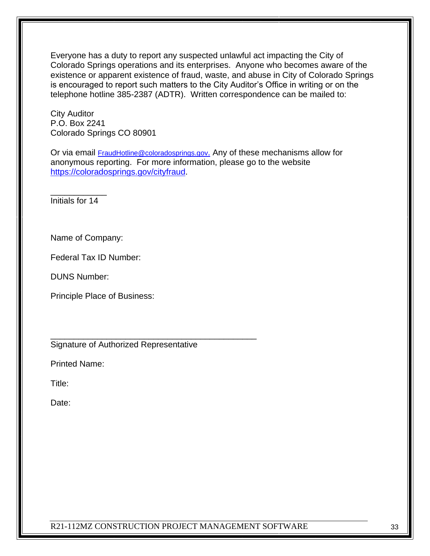Everyone has a duty to report any suspected unlawful act impacting the City of Colorado Springs operations and its enterprises. Anyone who becomes aware of the existence or apparent existence of fraud, waste, and abuse in City of Colorado Springs is encouraged to report such matters to the City Auditor's Office in writing or on the telephone hotline 385-2387 (ADTR). Written correspondence can be mailed to:

City Auditor P.O. Box 2241 Colorado Springs CO 80901

Or via email **[FraudHotline@coloradosprings.gov](mailto:FraudHotline@coloradosprings.gov).** Any of these mechanisms allow for anonymous reporting. For more information, please go to the website [https://coloradosprings.gov/cityfraud.](https://coloradosprings.gov/cityfraud)

\_\_\_\_\_\_\_\_\_\_\_\_ Initials for 14

Name of Company:

Federal Tax ID Number:

DUNS Number:

Principle Place of Business:

Signature of Authorized Representative

\_\_\_\_\_\_\_\_\_\_\_\_\_\_\_\_\_\_\_\_\_\_\_\_\_\_\_\_\_\_\_\_\_\_\_\_\_\_\_\_\_\_\_\_

Printed Name:

Title:

Date: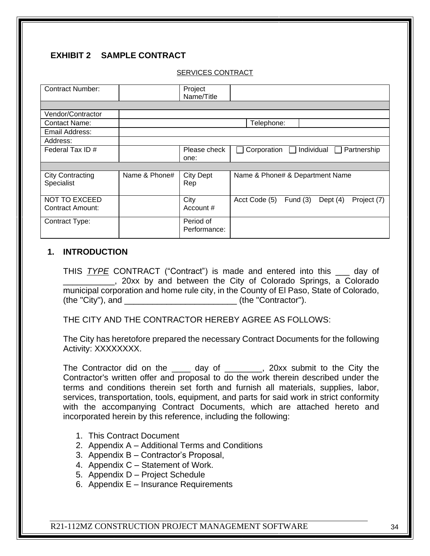# **EXHIBIT 2 SAMPLE CONTRACT**

#### SERVICES CONTRACT

| <b>Contract Number:</b> |               | Project          |                                           |                                 |            |  |             |             |
|-------------------------|---------------|------------------|-------------------------------------------|---------------------------------|------------|--|-------------|-------------|
|                         |               | Name/Title       |                                           |                                 |            |  |             |             |
|                         |               |                  |                                           |                                 |            |  |             |             |
| Vendor/Contractor       |               |                  |                                           |                                 |            |  |             |             |
| <b>Contact Name:</b>    |               |                  |                                           | Telephone:                      |            |  |             |             |
| Email Address:          |               |                  |                                           |                                 |            |  |             |             |
| Address:                |               |                  |                                           |                                 |            |  |             |             |
| Federal Tax ID#         |               | Please check     | Individual<br>Corporation<br>$\mathbf{1}$ |                                 |            |  | Partnership |             |
|                         |               | one:             |                                           |                                 |            |  |             |             |
|                         |               |                  |                                           |                                 |            |  |             |             |
| <b>City Contracting</b> | Name & Phone# | <b>City Dept</b> |                                           | Name & Phone# & Department Name |            |  |             |             |
| Specialist              |               | Rep              |                                           |                                 |            |  |             |             |
|                         |               |                  |                                           |                                 |            |  |             |             |
| <b>NOT TO EXCEED</b>    |               | City             |                                           | Acct Code (5)                   | Fund $(3)$ |  | Dept $(4)$  | Project (7) |
| Contract Amount:        |               | Account#         |                                           |                                 |            |  |             |             |
|                         |               | Period of        |                                           |                                 |            |  |             |             |
| Contract Type:          |               |                  |                                           |                                 |            |  |             |             |
|                         |               | Performance:     |                                           |                                 |            |  |             |             |

#### **1. INTRODUCTION**

THIS *TYPE* CONTRACT ("Contract") is made and entered into this \_\_\_ day of **20xx** by and between the City of Colorado Springs, a Colorado municipal corporation and home rule city, in the County of El Paso, State of Colorado, (the "City"), and \_\_\_\_\_\_\_\_\_\_\_\_\_\_\_\_\_\_\_\_\_\_\_\_ (the "Contractor").

THE CITY AND THE CONTRACTOR HEREBY AGREE AS FOLLOWS:

The City has heretofore prepared the necessary Contract Documents for the following Activity: XXXXXXXX.

The Contractor did on the \_\_\_\_ day of \_\_\_\_\_\_\_, 20xx submit to the City the Contractor's written offer and proposal to do the work therein described under the terms and conditions therein set forth and furnish all materials, supplies, labor, services, transportation, tools, equipment, and parts for said work in strict conformity with the accompanying Contract Documents, which are attached hereto and incorporated herein by this reference, including the following:

- 1. This Contract Document
- 2. Appendix A Additional Terms and Conditions
- 3. Appendix B Contractor's Proposal,
- 4. Appendix C Statement of Work.
- 5. Appendix D Project Schedule
- 6. Appendix E Insurance Requirements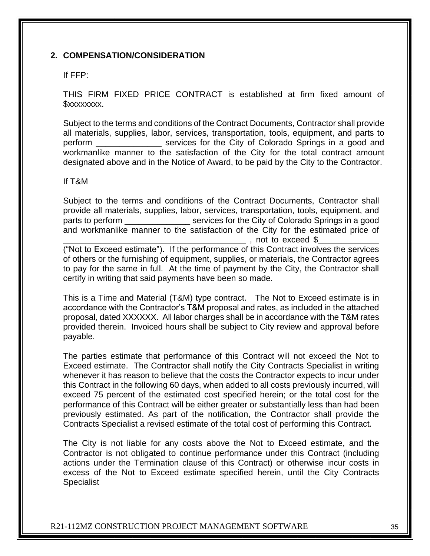#### **2. COMPENSATION/CONSIDERATION**

#### If FFP:

THIS FIRM FIXED PRICE CONTRACT is established at firm fixed amount of \$xxxxxxxx.

Subject to the terms and conditions of the Contract Documents, Contractor shall provide all materials, supplies, labor, services, transportation, tools, equipment, and parts to perform \_\_\_\_\_\_\_\_\_\_\_\_\_\_ services for the City of Colorado Springs in a good and workmanlike manner to the satisfaction of the City for the total contract amount designated above and in the Notice of Award, to be paid by the City to the Contractor.

#### If T&M

Subject to the terms and conditions of the Contract Documents, Contractor shall provide all materials, supplies, labor, services, transportation, tools, equipment, and parts to perform services for the City of Colorado Springs in a good and workmanlike manner to the satisfaction of the City for the estimated price of  $\Box$ , not to exceed \$\_

("Not to Exceed estimate"). If the performance of this Contract involves the services of others or the furnishing of equipment, supplies, or materials, the Contractor agrees to pay for the same in full. At the time of payment by the City, the Contractor shall certify in writing that said payments have been so made.

This is a Time and Material (T&M) type contract. The Not to Exceed estimate is in accordance with the Contractor's T&M proposal and rates, as included in the attached proposal, dated XXXXXX. All labor charges shall be in accordance with the T&M rates provided therein. Invoiced hours shall be subject to City review and approval before payable.

The parties estimate that performance of this Contract will not exceed the Not to Exceed estimate. The Contractor shall notify the City Contracts Specialist in writing whenever it has reason to believe that the costs the Contractor expects to incur under this Contract in the following 60 days, when added to all costs previously incurred, will exceed 75 percent of the estimated cost specified herein; or the total cost for the performance of this Contract will be either greater or substantially less than had been previously estimated. As part of the notification, the Contractor shall provide the Contracts Specialist a revised estimate of the total cost of performing this Contract.

The City is not liable for any costs above the Not to Exceed estimate, and the Contractor is not obligated to continue performance under this Contract (including actions under the Termination clause of this Contract) or otherwise incur costs in excess of the Not to Exceed estimate specified herein, until the City Contracts **Specialist**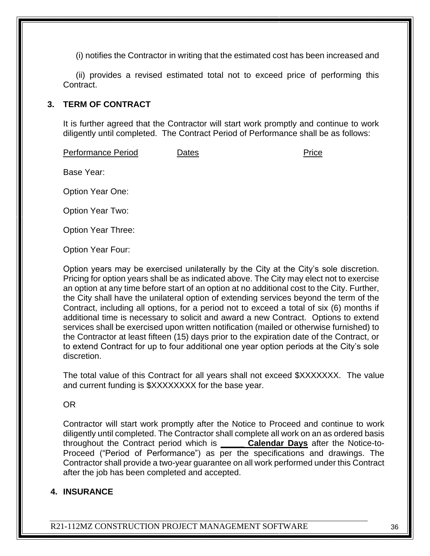(i) notifies the Contractor in writing that the estimated cost has been increased and

(ii) provides a revised estimated total not to exceed price of performing this Contract.

#### **3. TERM OF CONTRACT**

It is further agreed that the Contractor will start work promptly and continue to work diligently until completed. The Contract Period of Performance shall be as follows:

Performance Period Dates **Dates** Price

Base Year:

Option Year One:

Option Year Two:

Option Year Three:

Option Year Four:

Option years may be exercised unilaterally by the City at the City's sole discretion. Pricing for option years shall be as indicated above. The City may elect not to exercise an option at any time before start of an option at no additional cost to the City. Further, the City shall have the unilateral option of extending services beyond the term of the Contract, including all options, for a period not to exceed a total of six (6) months if additional time is necessary to solicit and award a new Contract. Options to extend services shall be exercised upon written notification (mailed or otherwise furnished) to the Contractor at least fifteen (15) days prior to the expiration date of the Contract, or to extend Contract for up to four additional one year option periods at the City's sole discretion.

The total value of this Contract for all years shall not exceed \$XXXXXXX. The value and current funding is \$XXXXXXXX for the base year.

#### OR

Contractor will start work promptly after the Notice to Proceed and continue to work diligently until completed. The Contractor shall complete all work on an as ordered basis throughout the Contract period which is **\_\_\_\_\_ Calendar Days** after the Notice-to-Proceed ("Period of Performance") as per the specifications and drawings. The Contractor shall provide a two-year guarantee on all work performed under this Contract after the job has been completed and accepted.

# **4. INSURANCE**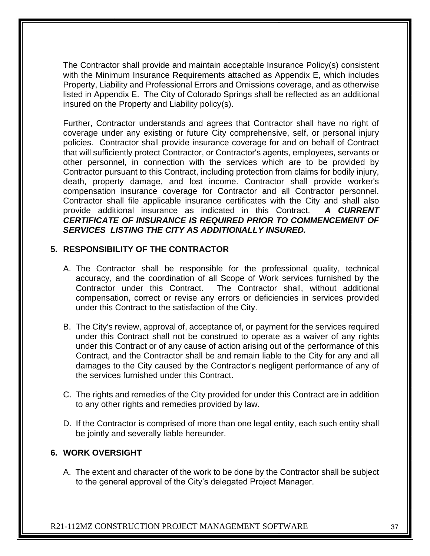The Contractor shall provide and maintain acceptable Insurance Policy(s) consistent with the Minimum Insurance Requirements attached as Appendix E, which includes Property, Liability and Professional Errors and Omissions coverage, and as otherwise listed in Appendix E. The City of Colorado Springs shall be reflected as an additional insured on the Property and Liability policy(s).

Further, Contractor understands and agrees that Contractor shall have no right of coverage under any existing or future City comprehensive, self, or personal injury policies. Contractor shall provide insurance coverage for and on behalf of Contract that will sufficiently protect Contractor, or Contractor's agents, employees, servants or other personnel, in connection with the services which are to be provided by Contractor pursuant to this Contract, including protection from claims for bodily injury, death, property damage, and lost income. Contractor shall provide worker's compensation insurance coverage for Contractor and all Contractor personnel. Contractor shall file applicable insurance certificates with the City and shall also provide additional insurance as indicated in this Contract. *A CURRENT CERTIFICATE OF INSURANCE IS REQUIRED PRIOR TO COMMENCEMENT OF SERVICES LISTING THE CITY AS ADDITIONALLY INSURED.*

### **5. RESPONSIBILITY OF THE CONTRACTOR**

- A. The Contractor shall be responsible for the professional quality, technical accuracy, and the coordination of all Scope of Work services furnished by the Contractor under this Contract. The Contractor shall, without additional compensation, correct or revise any errors or deficiencies in services provided under this Contract to the satisfaction of the City.
- B. The City's review, approval of, acceptance of, or payment for the services required under this Contract shall not be construed to operate as a waiver of any rights under this Contract or of any cause of action arising out of the performance of this Contract, and the Contractor shall be and remain liable to the City for any and all damages to the City caused by the Contractor's negligent performance of any of the services furnished under this Contract.
- C. The rights and remedies of the City provided for under this Contract are in addition to any other rights and remedies provided by law.
- D. If the Contractor is comprised of more than one legal entity, each such entity shall be jointly and severally liable hereunder.

#### **6. WORK OVERSIGHT**

A. The extent and character of the work to be done by the Contractor shall be subject to the general approval of the City's delegated Project Manager.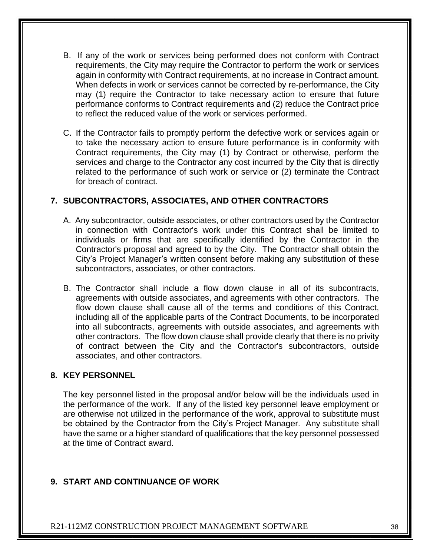- B. If any of the work or services being performed does not conform with Contract requirements, the City may require the Contractor to perform the work or services again in conformity with Contract requirements, at no increase in Contract amount. When defects in work or services cannot be corrected by re-performance, the City may (1) require the Contractor to take necessary action to ensure that future performance conforms to Contract requirements and (2) reduce the Contract price to reflect the reduced value of the work or services performed.
- C. If the Contractor fails to promptly perform the defective work or services again or to take the necessary action to ensure future performance is in conformity with Contract requirements, the City may (1) by Contract or otherwise, perform the services and charge to the Contractor any cost incurred by the City that is directly related to the performance of such work or service or (2) terminate the Contract for breach of contract.

### **7. SUBCONTRACTORS, ASSOCIATES, AND OTHER CONTRACTORS**

- A. Any subcontractor, outside associates, or other contractors used by the Contractor in connection with Contractor's work under this Contract shall be limited to individuals or firms that are specifically identified by the Contractor in the Contractor's proposal and agreed to by the City. The Contractor shall obtain the City's Project Manager's written consent before making any substitution of these subcontractors, associates, or other contractors.
- B. The Contractor shall include a flow down clause in all of its subcontracts, agreements with outside associates, and agreements with other contractors. The flow down clause shall cause all of the terms and conditions of this Contract, including all of the applicable parts of the Contract Documents, to be incorporated into all subcontracts, agreements with outside associates, and agreements with other contractors. The flow down clause shall provide clearly that there is no privity of contract between the City and the Contractor's subcontractors, outside associates, and other contractors.

#### **8. KEY PERSONNEL**

The key personnel listed in the proposal and/or below will be the individuals used in the performance of the work. If any of the listed key personnel leave employment or are otherwise not utilized in the performance of the work, approval to substitute must be obtained by the Contractor from the City's Project Manager. Any substitute shall have the same or a higher standard of qualifications that the key personnel possessed at the time of Contract award.

#### **9. START AND CONTINUANCE OF WORK**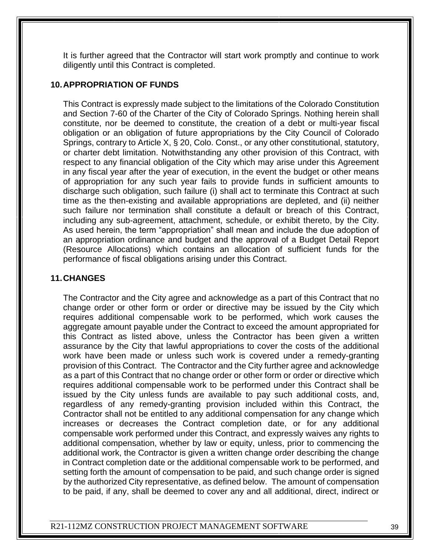It is further agreed that the Contractor will start work promptly and continue to work diligently until this Contract is completed.

### **10.APPROPRIATION OF FUNDS**

This Contract is expressly made subject to the limitations of the Colorado Constitution and Section 7-60 of the Charter of the City of Colorado Springs. Nothing herein shall constitute, nor be deemed to constitute, the creation of a debt or multi-year fiscal obligation or an obligation of future appropriations by the City Council of Colorado Springs, contrary to Article X, § 20, Colo. Const., or any other constitutional, statutory, or charter debt limitation. Notwithstanding any other provision of this Contract, with respect to any financial obligation of the City which may arise under this Agreement in any fiscal year after the year of execution, in the event the budget or other means of appropriation for any such year fails to provide funds in sufficient amounts to discharge such obligation, such failure (i) shall act to terminate this Contract at such time as the then-existing and available appropriations are depleted, and (ii) neither such failure nor termination shall constitute a default or breach of this Contract, including any sub-agreement, attachment, schedule, or exhibit thereto, by the City. As used herein, the term "appropriation" shall mean and include the due adoption of an appropriation ordinance and budget and the approval of a Budget Detail Report (Resource Allocations) which contains an allocation of sufficient funds for the performance of fiscal obligations arising under this Contract.

# **11.CHANGES**

The Contractor and the City agree and acknowledge as a part of this Contract that no change order or other form or order or directive may be issued by the City which requires additional compensable work to be performed, which work causes the aggregate amount payable under the Contract to exceed the amount appropriated for this Contract as listed above, unless the Contractor has been given a written assurance by the City that lawful appropriations to cover the costs of the additional work have been made or unless such work is covered under a remedy-granting provision of this Contract. The Contractor and the City further agree and acknowledge as a part of this Contract that no change order or other form or order or directive which requires additional compensable work to be performed under this Contract shall be issued by the City unless funds are available to pay such additional costs, and, regardless of any remedy-granting provision included within this Contract, the Contractor shall not be entitled to any additional compensation for any change which increases or decreases the Contract completion date, or for any additional compensable work performed under this Contract, and expressly waives any rights to additional compensation, whether by law or equity, unless, prior to commencing the additional work, the Contractor is given a written change order describing the change in Contract completion date or the additional compensable work to be performed, and setting forth the amount of compensation to be paid, and such change order is signed by the authorized City representative, as defined below. The amount of compensation to be paid, if any, shall be deemed to cover any and all additional, direct, indirect or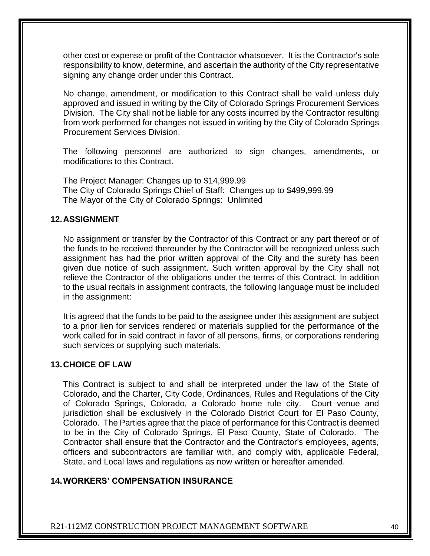other cost or expense or profit of the Contractor whatsoever. It is the Contractor's sole responsibility to know, determine, and ascertain the authority of the City representative signing any change order under this Contract.

No change, amendment, or modification to this Contract shall be valid unless duly approved and issued in writing by the City of Colorado Springs Procurement Services Division. The City shall not be liable for any costs incurred by the Contractor resulting from work performed for changes not issued in writing by the City of Colorado Springs Procurement Services Division.

The following personnel are authorized to sign changes, amendments, or modifications to this Contract.

The Project Manager: Changes up to \$14,999.99 The City of Colorado Springs Chief of Staff: Changes up to \$499,999.99 The Mayor of the City of Colorado Springs: Unlimited

#### **12.ASSIGNMENT**

No assignment or transfer by the Contractor of this Contract or any part thereof or of the funds to be received thereunder by the Contractor will be recognized unless such assignment has had the prior written approval of the City and the surety has been given due notice of such assignment. Such written approval by the City shall not relieve the Contractor of the obligations under the terms of this Contract. In addition to the usual recitals in assignment contracts, the following language must be included in the assignment:

It is agreed that the funds to be paid to the assignee under this assignment are subject to a prior lien for services rendered or materials supplied for the performance of the work called for in said contract in favor of all persons, firms, or corporations rendering such services or supplying such materials.

#### **13.CHOICE OF LAW**

This Contract is subject to and shall be interpreted under the law of the State of Colorado, and the Charter, City Code, Ordinances, Rules and Regulations of the City of Colorado Springs, Colorado, a Colorado home rule city. Court venue and jurisdiction shall be exclusively in the Colorado District Court for El Paso County, Colorado. The Parties agree that the place of performance for this Contract is deemed to be in the City of Colorado Springs, El Paso County, State of Colorado. The Contractor shall ensure that the Contractor and the Contractor's employees, agents, officers and subcontractors are familiar with, and comply with, applicable Federal, State, and Local laws and regulations as now written or hereafter amended.

#### **14.WORKERS' COMPENSATION INSURANCE**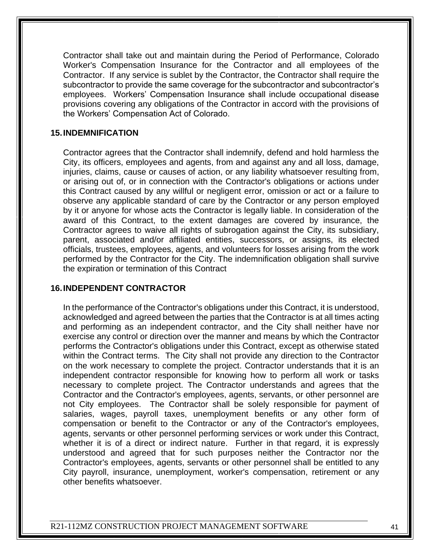Contractor shall take out and maintain during the Period of Performance, Colorado Worker's Compensation Insurance for the Contractor and all employees of the Contractor. If any service is sublet by the Contractor, the Contractor shall require the subcontractor to provide the same coverage for the subcontractor and subcontractor's employees. Workers' Compensation Insurance shall include occupational disease provisions covering any obligations of the Contractor in accord with the provisions of the Workers' Compensation Act of Colorado.

#### **15.INDEMNIFICATION**

Contractor agrees that the Contractor shall indemnify, defend and hold harmless the City, its officers, employees and agents, from and against any and all loss, damage, injuries, claims, cause or causes of action, or any liability whatsoever resulting from, or arising out of, or in connection with the Contractor's obligations or actions under this Contract caused by any willful or negligent error, omission or act or a failure to observe any applicable standard of care by the Contractor or any person employed by it or anyone for whose acts the Contractor is legally liable. In consideration of the award of this Contract, to the extent damages are covered by insurance, the Contractor agrees to waive all rights of subrogation against the City, its subsidiary, parent, associated and/or affiliated entities, successors, or assigns, its elected officials, trustees, employees, agents, and volunteers for losses arising from the work performed by the Contractor for the City. The indemnification obligation shall survive the expiration or termination of this Contract

#### **16.INDEPENDENT CONTRACTOR**

In the performance of the Contractor's obligations under this Contract, it is understood, acknowledged and agreed between the parties that the Contractor is at all times acting and performing as an independent contractor, and the City shall neither have nor exercise any control or direction over the manner and means by which the Contractor performs the Contractor's obligations under this Contract, except as otherwise stated within the Contract terms. The City shall not provide any direction to the Contractor on the work necessary to complete the project. Contractor understands that it is an independent contractor responsible for knowing how to perform all work or tasks necessary to complete project. The Contractor understands and agrees that the Contractor and the Contractor's employees, agents, servants, or other personnel are not City employees. The Contractor shall be solely responsible for payment of salaries, wages, payroll taxes, unemployment benefits or any other form of compensation or benefit to the Contractor or any of the Contractor's employees, agents, servants or other personnel performing services or work under this Contract, whether it is of a direct or indirect nature. Further in that regard, it is expressly understood and agreed that for such purposes neither the Contractor nor the Contractor's employees, agents, servants or other personnel shall be entitled to any City payroll, insurance, unemployment, worker's compensation, retirement or any other benefits whatsoever.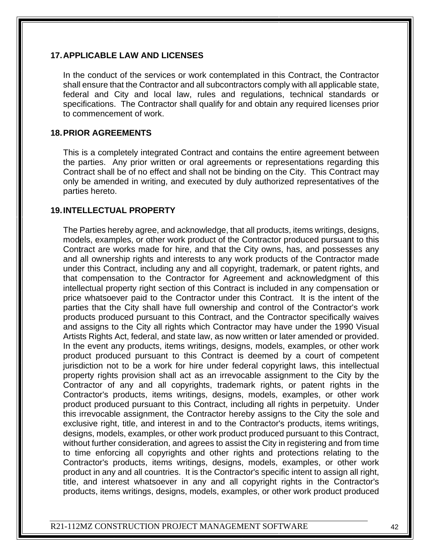#### **17.APPLICABLE LAW AND LICENSES**

In the conduct of the services or work contemplated in this Contract, the Contractor shall ensure that the Contractor and all subcontractors comply with all applicable state, federal and City and local law, rules and regulations, technical standards or specifications. The Contractor shall qualify for and obtain any required licenses prior to commencement of work.

#### **18.PRIOR AGREEMENTS**

This is a completely integrated Contract and contains the entire agreement between the parties. Any prior written or oral agreements or representations regarding this Contract shall be of no effect and shall not be binding on the City. This Contract may only be amended in writing, and executed by duly authorized representatives of the parties hereto.

#### **19.INTELLECTUAL PROPERTY**

The Parties hereby agree, and acknowledge, that all products, items writings, designs, models, examples, or other work product of the Contractor produced pursuant to this Contract are works made for hire, and that the City owns, has, and possesses any and all ownership rights and interests to any work products of the Contractor made under this Contract, including any and all copyright, trademark, or patent rights, and that compensation to the Contractor for Agreement and acknowledgment of this intellectual property right section of this Contract is included in any compensation or price whatsoever paid to the Contractor under this Contract. It is the intent of the parties that the City shall have full ownership and control of the Contractor's work products produced pursuant to this Contract, and the Contractor specifically waives and assigns to the City all rights which Contractor may have under the 1990 Visual Artists Rights Act, federal, and state law, as now written or later amended or provided. In the event any products, items writings, designs, models, examples, or other work product produced pursuant to this Contract is deemed by a court of competent jurisdiction not to be a work for hire under federal copyright laws, this intellectual property rights provision shall act as an irrevocable assignment to the City by the Contractor of any and all copyrights, trademark rights, or patent rights in the Contractor's products, items writings, designs, models, examples, or other work product produced pursuant to this Contract, including all rights in perpetuity. Under this irrevocable assignment, the Contractor hereby assigns to the City the sole and exclusive right, title, and interest in and to the Contractor's products, items writings, designs, models, examples, or other work product produced pursuant to this Contract, without further consideration, and agrees to assist the City in registering and from time to time enforcing all copyrights and other rights and protections relating to the Contractor's products, items writings, designs, models, examples, or other work product in any and all countries. It is the Contractor's specific intent to assign all right, title, and interest whatsoever in any and all copyright rights in the Contractor's products, items writings, designs, models, examples, or other work product produced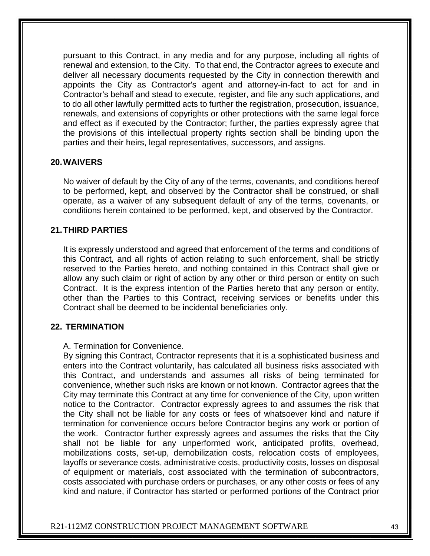pursuant to this Contract, in any media and for any purpose, including all rights of renewal and extension, to the City. To that end, the Contractor agrees to execute and deliver all necessary documents requested by the City in connection therewith and appoints the City as Contractor's agent and attorney-in-fact to act for and in Contractor's behalf and stead to execute, register, and file any such applications, and to do all other lawfully permitted acts to further the registration, prosecution, issuance, renewals, and extensions of copyrights or other protections with the same legal force and effect as if executed by the Contractor; further, the parties expressly agree that the provisions of this intellectual property rights section shall be binding upon the parties and their heirs, legal representatives, successors, and assigns.

#### **20.WAIVERS**

No waiver of default by the City of any of the terms, covenants, and conditions hereof to be performed, kept, and observed by the Contractor shall be construed, or shall operate, as a waiver of any subsequent default of any of the terms, covenants, or conditions herein contained to be performed, kept, and observed by the Contractor.

### **21.THIRD PARTIES**

It is expressly understood and agreed that enforcement of the terms and conditions of this Contract, and all rights of action relating to such enforcement, shall be strictly reserved to the Parties hereto, and nothing contained in this Contract shall give or allow any such claim or right of action by any other or third person or entity on such Contract. It is the express intention of the Parties hereto that any person or entity, other than the Parties to this Contract, receiving services or benefits under this Contract shall be deemed to be incidental beneficiaries only.

#### **22. TERMINATION**

#### A. Termination for Convenience.

By signing this Contract, Contractor represents that it is a sophisticated business and enters into the Contract voluntarily, has calculated all business risks associated with this Contract, and understands and assumes all risks of being terminated for convenience, whether such risks are known or not known. Contractor agrees that the City may terminate this Contract at any time for convenience of the City, upon written notice to the Contractor. Contractor expressly agrees to and assumes the risk that the City shall not be liable for any costs or fees of whatsoever kind and nature if termination for convenience occurs before Contractor begins any work or portion of the work. Contractor further expressly agrees and assumes the risks that the City shall not be liable for any unperformed work, anticipated profits, overhead, mobilizations costs, set-up, demobilization costs, relocation costs of employees, layoffs or severance costs, administrative costs, productivity costs, losses on disposal of equipment or materials, cost associated with the termination of subcontractors, costs associated with purchase orders or purchases, or any other costs or fees of any kind and nature, if Contractor has started or performed portions of the Contract prior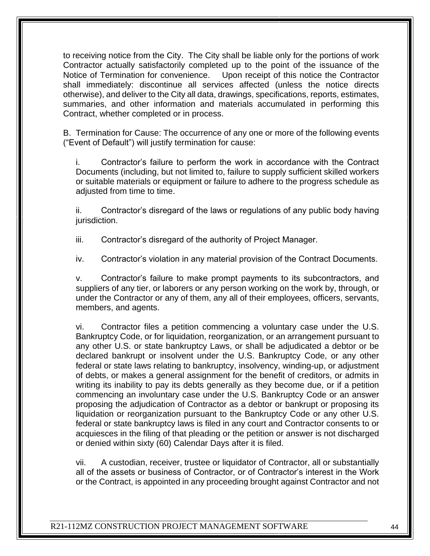to receiving notice from the City. The City shall be liable only for the portions of work Contractor actually satisfactorily completed up to the point of the issuance of the Notice of Termination for convenience. Upon receipt of this notice the Contractor shall immediately: discontinue all services affected (unless the notice directs otherwise), and deliver to the City all data, drawings, specifications, reports, estimates, summaries, and other information and materials accumulated in performing this Contract, whether completed or in process.

B. Termination for Cause: The occurrence of any one or more of the following events ("Event of Default") will justify termination for cause:

i. Contractor's failure to perform the work in accordance with the Contract Documents (including, but not limited to, failure to supply sufficient skilled workers or suitable materials or equipment or failure to adhere to the progress schedule as adjusted from time to time.

ii. Contractor's disregard of the laws or regulations of any public body having jurisdiction.

iii. Contractor's disregard of the authority of Project Manager.

iv. Contractor's violation in any material provision of the Contract Documents.

v. Contractor's failure to make prompt payments to its subcontractors, and suppliers of any tier, or laborers or any person working on the work by, through, or under the Contractor or any of them, any all of their employees, officers, servants, members, and agents.

vi. Contractor files a petition commencing a voluntary case under the U.S. Bankruptcy Code, or for liquidation, reorganization, or an arrangement pursuant to any other U.S. or state bankruptcy Laws, or shall be adjudicated a debtor or be declared bankrupt or insolvent under the U.S. Bankruptcy Code, or any other federal or state laws relating to bankruptcy, insolvency, winding-up, or adjustment of debts, or makes a general assignment for the benefit of creditors, or admits in writing its inability to pay its debts generally as they become due, or if a petition commencing an involuntary case under the U.S. Bankruptcy Code or an answer proposing the adjudication of Contractor as a debtor or bankrupt or proposing its liquidation or reorganization pursuant to the Bankruptcy Code or any other U.S. federal or state bankruptcy laws is filed in any court and Contractor consents to or acquiesces in the filing of that pleading or the petition or answer is not discharged or denied within sixty (60) Calendar Days after it is filed.

vii. A custodian, receiver, trustee or liquidator of Contractor, all or substantially all of the assets or business of Contractor, or of Contractor's interest in the Work or the Contract, is appointed in any proceeding brought against Contractor and not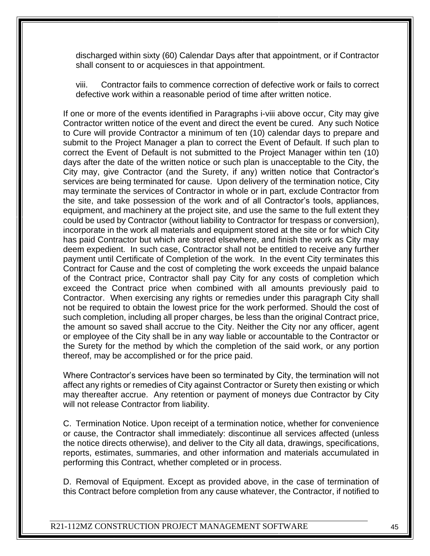discharged within sixty (60) Calendar Days after that appointment, or if Contractor shall consent to or acquiesces in that appointment.

viii. Contractor fails to commence correction of defective work or fails to correct defective work within a reasonable period of time after written notice.

If one or more of the events identified in Paragraphs i-viii above occur, City may give Contractor written notice of the event and direct the event be cured. Any such Notice to Cure will provide Contractor a minimum of ten (10) calendar days to prepare and submit to the Project Manager a plan to correct the Event of Default. If such plan to correct the Event of Default is not submitted to the Project Manager within ten (10) days after the date of the written notice or such plan is unacceptable to the City, the City may, give Contractor (and the Surety, if any) written notice that Contractor's services are being terminated for cause. Upon delivery of the termination notice, City may terminate the services of Contractor in whole or in part, exclude Contractor from the site, and take possession of the work and of all Contractor's tools, appliances, equipment, and machinery at the project site, and use the same to the full extent they could be used by Contractor (without liability to Contractor for trespass or conversion), incorporate in the work all materials and equipment stored at the site or for which City has paid Contractor but which are stored elsewhere, and finish the work as City may deem expedient. In such case, Contractor shall not be entitled to receive any further payment until Certificate of Completion of the work. In the event City terminates this Contract for Cause and the cost of completing the work exceeds the unpaid balance of the Contract price, Contractor shall pay City for any costs of completion which exceed the Contract price when combined with all amounts previously paid to Contractor. When exercising any rights or remedies under this paragraph City shall not be required to obtain the lowest price for the work performed. Should the cost of such completion, including all proper charges, be less than the original Contract price, the amount so saved shall accrue to the City. Neither the City nor any officer, agent or employee of the City shall be in any way liable or accountable to the Contractor or the Surety for the method by which the completion of the said work, or any portion thereof, may be accomplished or for the price paid.

Where Contractor's services have been so terminated by City, the termination will not affect any rights or remedies of City against Contractor or Surety then existing or which may thereafter accrue. Any retention or payment of moneys due Contractor by City will not release Contractor from liability.

C. Termination Notice. Upon receipt of a termination notice, whether for convenience or cause, the Contractor shall immediately: discontinue all services affected (unless the notice directs otherwise), and deliver to the City all data, drawings, specifications, reports, estimates, summaries, and other information and materials accumulated in performing this Contract, whether completed or in process.

D. Removal of Equipment. Except as provided above, in the case of termination of this Contract before completion from any cause whatever, the Contractor, if notified to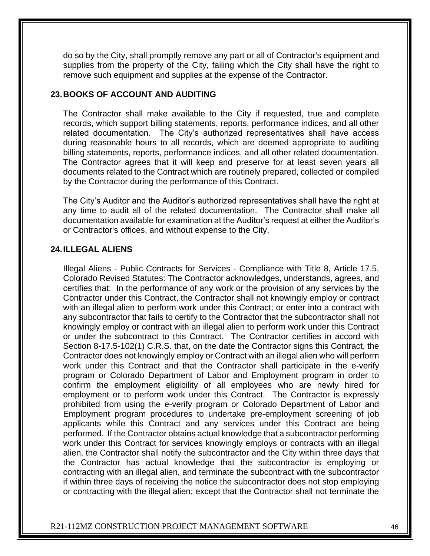do so by the City, shall promptly remove any part or all of Contractor's equipment and supplies from the property of the City, failing which the City shall have the right to remove such equipment and supplies at the expense of the Contractor.

#### **23.BOOKS OF ACCOUNT AND AUDITING**

The Contractor shall make available to the City if requested, true and complete records, which support billing statements, reports, performance indices, and all other related documentation. The City's authorized representatives shall have access during reasonable hours to all records, which are deemed appropriate to auditing billing statements, reports, performance indices, and all other related documentation. The Contractor agrees that it will keep and preserve for at least seven years all documents related to the Contract which are routinely prepared, collected or compiled by the Contractor during the performance of this Contract.

The City's Auditor and the Auditor's authorized representatives shall have the right at any time to audit all of the related documentation. The Contractor shall make all documentation available for examination at the Auditor's request at either the Auditor's or Contractor's offices, and without expense to the City.

#### **24.ILLEGAL ALIENS**

Illegal Aliens - Public Contracts for Services - Compliance with Title 8, Article 17.5, Colorado Revised Statutes: The Contractor acknowledges, understands, agrees, and certifies that: In the performance of any work or the provision of any services by the Contractor under this Contract, the Contractor shall not knowingly employ or contract with an illegal alien to perform work under this Contract; or enter into a contract with any subcontractor that fails to certify to the Contractor that the subcontractor shall not knowingly employ or contract with an illegal alien to perform work under this Contract or under the subcontract to this Contract. The Contractor certifies in accord with Section 8-17.5-102(1) C.R.S. that, on the date the Contractor signs this Contract, the Contractor does not knowingly employ or Contract with an illegal alien who will perform work under this Contract and that the Contractor shall participate in the e-verify program or Colorado Department of Labor and Employment program in order to confirm the employment eligibility of all employees who are newly hired for employment or to perform work under this Contract. The Contractor is expressly prohibited from using the e-verify program or Colorado Department of Labor and Employment program procedures to undertake pre-employment screening of job applicants while this Contract and any services under this Contract are being performed. If the Contractor obtains actual knowledge that a subcontractor performing work under this Contract for services knowingly employs or contracts with an illegal alien, the Contractor shall notify the subcontractor and the City within three days that the Contractor has actual knowledge that the subcontractor is employing or contracting with an illegal alien, and terminate the subcontract with the subcontractor if within three days of receiving the notice the subcontractor does not stop employing or contracting with the illegal alien; except that the Contractor shall not terminate the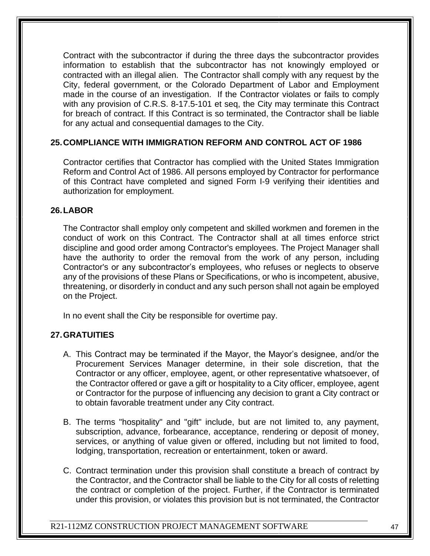Contract with the subcontractor if during the three days the subcontractor provides information to establish that the subcontractor has not knowingly employed or contracted with an illegal alien. The Contractor shall comply with any request by the City, federal government, or the Colorado Department of Labor and Employment made in the course of an investigation. If the Contractor violates or fails to comply with any provision of C.R.S. 8-17.5-101 et seq, the City may terminate this Contract for breach of contract. If this Contract is so terminated, the Contractor shall be liable for any actual and consequential damages to the City.

### **25.COMPLIANCE WITH IMMIGRATION REFORM AND CONTROL ACT OF 1986**

Contractor certifies that Contractor has complied with the United States Immigration Reform and Control Act of 1986. All persons employed by Contractor for performance of this Contract have completed and signed Form I-9 verifying their identities and authorization for employment.

#### **26.LABOR**

The Contractor shall employ only competent and skilled workmen and foremen in the conduct of work on this Contract. The Contractor shall at all times enforce strict discipline and good order among Contractor's employees. The Project Manager shall have the authority to order the removal from the work of any person, including Contractor's or any subcontractor's employees, who refuses or neglects to observe any of the provisions of these Plans or Specifications, or who is incompetent, abusive, threatening, or disorderly in conduct and any such person shall not again be employed on the Project.

In no event shall the City be responsible for overtime pay.

#### **27.GRATUITIES**

- A. This Contract may be terminated if the Mayor, the Mayor's designee, and/or the Procurement Services Manager determine, in their sole discretion, that the Contractor or any officer, employee, agent, or other representative whatsoever, of the Contractor offered or gave a gift or hospitality to a City officer, employee, agent or Contractor for the purpose of influencing any decision to grant a City contract or to obtain favorable treatment under any City contract.
- B. The terms "hospitality" and "gift" include, but are not limited to, any payment, subscription, advance, forbearance, acceptance, rendering or deposit of money, services, or anything of value given or offered, including but not limited to food, lodging, transportation, recreation or entertainment, token or award.
- C. Contract termination under this provision shall constitute a breach of contract by the Contractor, and the Contractor shall be liable to the City for all costs of reletting the contract or completion of the project. Further, if the Contractor is terminated under this provision, or violates this provision but is not terminated, the Contractor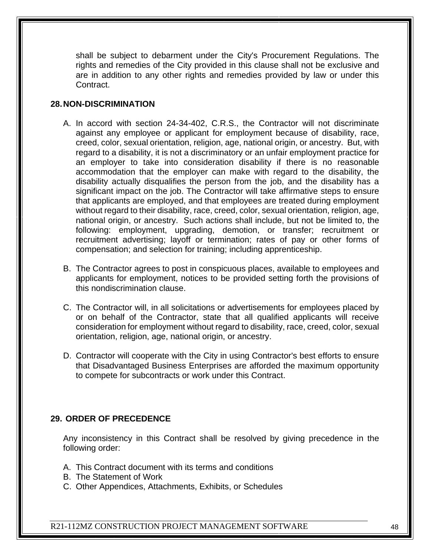shall be subject to debarment under the City's Procurement Regulations. The rights and remedies of the City provided in this clause shall not be exclusive and are in addition to any other rights and remedies provided by law or under this Contract.

### **28.NON-DISCRIMINATION**

- A. In accord with section 24-34-402, C.R.S., the Contractor will not discriminate against any employee or applicant for employment because of disability, race, creed, color, sexual orientation, religion, age, national origin, or ancestry. But, with regard to a disability, it is not a discriminatory or an unfair employment practice for an employer to take into consideration disability if there is no reasonable accommodation that the employer can make with regard to the disability, the disability actually disqualifies the person from the job, and the disability has a significant impact on the job. The Contractor will take affirmative steps to ensure that applicants are employed, and that employees are treated during employment without regard to their disability, race, creed, color, sexual orientation, religion, age, national origin, or ancestry. Such actions shall include, but not be limited to, the following: employment, upgrading, demotion, or transfer; recruitment or recruitment advertising; layoff or termination; rates of pay or other forms of compensation; and selection for training; including apprenticeship.
- B. The Contractor agrees to post in conspicuous places, available to employees and applicants for employment, notices to be provided setting forth the provisions of this nondiscrimination clause.
- C. The Contractor will, in all solicitations or advertisements for employees placed by or on behalf of the Contractor, state that all qualified applicants will receive consideration for employment without regard to disability, race, creed, color, sexual orientation, religion, age, national origin, or ancestry.
- D. Contractor will cooperate with the City in using Contractor's best efforts to ensure that Disadvantaged Business Enterprises are afforded the maximum opportunity to compete for subcontracts or work under this Contract.

#### **29. ORDER OF PRECEDENCE**

Any inconsistency in this Contract shall be resolved by giving precedence in the following order:

- A. This Contract document with its terms and conditions
- B. The Statement of Work
- C. Other Appendices, Attachments, Exhibits, or Schedules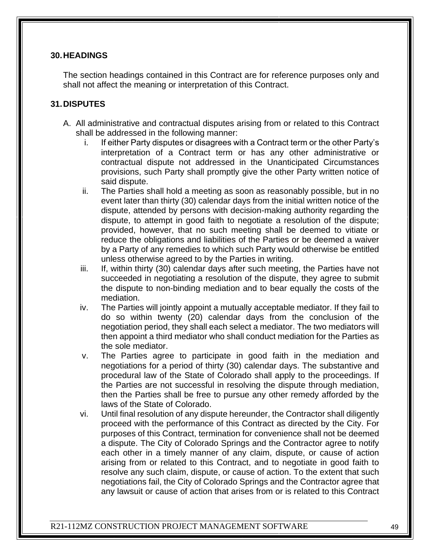#### **30.HEADINGS**

The section headings contained in this Contract are for reference purposes only and shall not affect the meaning or interpretation of this Contract.

#### **31.DISPUTES**

- A. All administrative and contractual disputes arising from or related to this Contract shall be addressed in the following manner:
	- i. If either Party disputes or disagrees with a Contract term or the other Party's interpretation of a Contract term or has any other administrative or contractual dispute not addressed in the Unanticipated Circumstances provisions, such Party shall promptly give the other Party written notice of said dispute.
	- ii. The Parties shall hold a meeting as soon as reasonably possible, but in no event later than thirty (30) calendar days from the initial written notice of the dispute, attended by persons with decision-making authority regarding the dispute, to attempt in good faith to negotiate a resolution of the dispute; provided, however, that no such meeting shall be deemed to vitiate or reduce the obligations and liabilities of the Parties or be deemed a waiver by a Party of any remedies to which such Party would otherwise be entitled unless otherwise agreed to by the Parties in writing.
	- iii. If, within thirty (30) calendar days after such meeting, the Parties have not succeeded in negotiating a resolution of the dispute, they agree to submit the dispute to non-binding mediation and to bear equally the costs of the mediation.
	- iv. The Parties will jointly appoint a mutually acceptable mediator. If they fail to do so within twenty (20) calendar days from the conclusion of the negotiation period, they shall each select a mediator. The two mediators will then appoint a third mediator who shall conduct mediation for the Parties as the sole mediator.
	- v. The Parties agree to participate in good faith in the mediation and negotiations for a period of thirty (30) calendar days. The substantive and procedural law of the State of Colorado shall apply to the proceedings. If the Parties are not successful in resolving the dispute through mediation, then the Parties shall be free to pursue any other remedy afforded by the laws of the State of Colorado.
	- vi. Until final resolution of any dispute hereunder, the Contractor shall diligently proceed with the performance of this Contract as directed by the City. For purposes of this Contract, termination for convenience shall not be deemed a dispute. The City of Colorado Springs and the Contractor agree to notify each other in a timely manner of any claim, dispute, or cause of action arising from or related to this Contract, and to negotiate in good faith to resolve any such claim, dispute, or cause of action. To the extent that such negotiations fail, the City of Colorado Springs and the Contractor agree that any lawsuit or cause of action that arises from or is related to this Contract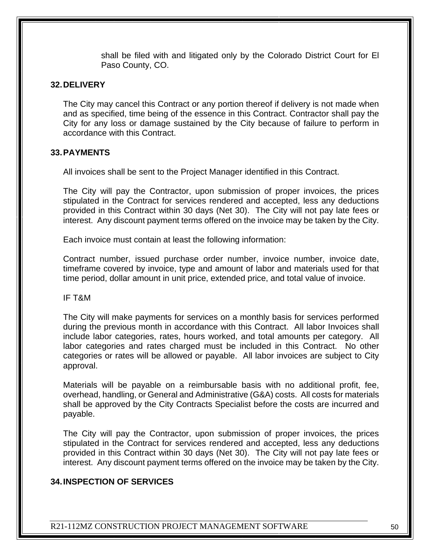shall be filed with and litigated only by the Colorado District Court for El Paso County, CO.

#### **32.DELIVERY**

The City may cancel this Contract or any portion thereof if delivery is not made when and as specified, time being of the essence in this Contract. Contractor shall pay the City for any loss or damage sustained by the City because of failure to perform in accordance with this Contract.

#### **33.PAYMENTS**

All invoices shall be sent to the Project Manager identified in this Contract.

The City will pay the Contractor, upon submission of proper invoices, the prices stipulated in the Contract for services rendered and accepted, less any deductions provided in this Contract within 30 days (Net 30). The City will not pay late fees or interest. Any discount payment terms offered on the invoice may be taken by the City.

Each invoice must contain at least the following information:

Contract number, issued purchase order number, invoice number, invoice date, timeframe covered by invoice, type and amount of labor and materials used for that time period, dollar amount in unit price, extended price, and total value of invoice.

IF T&M

The City will make payments for services on a monthly basis for services performed during the previous month in accordance with this Contract. All labor Invoices shall include labor categories, rates, hours worked, and total amounts per category. All labor categories and rates charged must be included in this Contract. No other categories or rates will be allowed or payable. All labor invoices are subject to City approval.

Materials will be payable on a reimbursable basis with no additional profit, fee, overhead, handling, or General and Administrative (G&A) costs. All costs for materials shall be approved by the City Contracts Specialist before the costs are incurred and payable.

The City will pay the Contractor, upon submission of proper invoices, the prices stipulated in the Contract for services rendered and accepted, less any deductions provided in this Contract within 30 days (Net 30). The City will not pay late fees or interest. Any discount payment terms offered on the invoice may be taken by the City.

#### **34.INSPECTION OF SERVICES**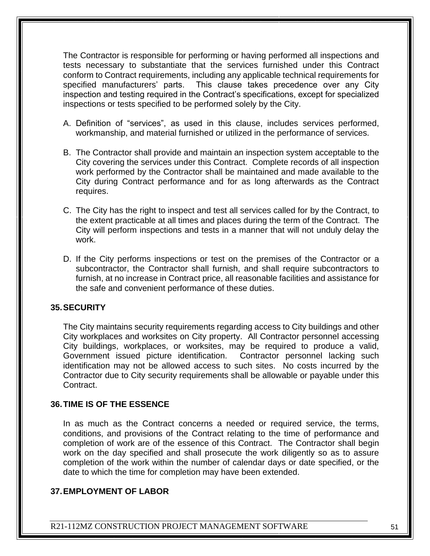The Contractor is responsible for performing or having performed all inspections and tests necessary to substantiate that the services furnished under this Contract conform to Contract requirements, including any applicable technical requirements for specified manufacturers' parts. This clause takes precedence over any City inspection and testing required in the Contract's specifications, except for specialized inspections or tests specified to be performed solely by the City.

- A. Definition of "services", as used in this clause, includes services performed, workmanship, and material furnished or utilized in the performance of services.
- B. The Contractor shall provide and maintain an inspection system acceptable to the City covering the services under this Contract. Complete records of all inspection work performed by the Contractor shall be maintained and made available to the City during Contract performance and for as long afterwards as the Contract requires.
- C. The City has the right to inspect and test all services called for by the Contract, to the extent practicable at all times and places during the term of the Contract. The City will perform inspections and tests in a manner that will not unduly delay the work.
- D. If the City performs inspections or test on the premises of the Contractor or a subcontractor, the Contractor shall furnish, and shall require subcontractors to furnish, at no increase in Contract price, all reasonable facilities and assistance for the safe and convenient performance of these duties.

#### **35.SECURITY**

The City maintains security requirements regarding access to City buildings and other City workplaces and worksites on City property. All Contractor personnel accessing City buildings, workplaces, or worksites, may be required to produce a valid, Government issued picture identification. Contractor personnel lacking such identification may not be allowed access to such sites. No costs incurred by the Contractor due to City security requirements shall be allowable or payable under this Contract.

#### **36.TIME IS OF THE ESSENCE**

In as much as the Contract concerns a needed or required service, the terms, conditions, and provisions of the Contract relating to the time of performance and completion of work are of the essence of this Contract. The Contractor shall begin work on the day specified and shall prosecute the work diligently so as to assure completion of the work within the number of calendar days or date specified, or the date to which the time for completion may have been extended.

#### **37.EMPLOYMENT OF LABOR**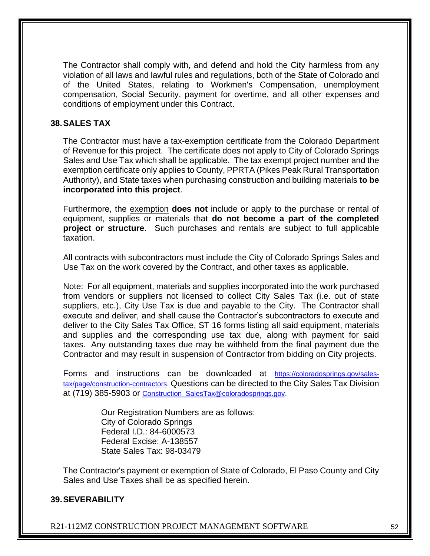The Contractor shall comply with, and defend and hold the City harmless from any violation of all laws and lawful rules and regulations, both of the State of Colorado and of the United States, relating to Workmen's Compensation, unemployment compensation, Social Security, payment for overtime, and all other expenses and conditions of employment under this Contract.

#### **38.SALES TAX**

The Contractor must have a tax-exemption certificate from the Colorado Department of Revenue for this project. The certificate does not apply to City of Colorado Springs Sales and Use Tax which shall be applicable. The tax exempt project number and the exemption certificate only applies to County, PPRTA (Pikes Peak Rural Transportation Authority), and State taxes when purchasing construction and building materials **to be incorporated into this project**.

Furthermore, the exemption **does not** include or apply to the purchase or rental of equipment, supplies or materials that **do not become a part of the completed project or structure**. Such purchases and rentals are subject to full applicable taxation.

All contracts with subcontractors must include the City of Colorado Springs Sales and Use Tax on the work covered by the Contract, and other taxes as applicable.

Note: For all equipment, materials and supplies incorporated into the work purchased from vendors or suppliers not licensed to collect City Sales Tax (i.e. out of state suppliers, etc.), City Use Tax is due and payable to the City. The Contractor shall execute and deliver, and shall cause the Contractor's subcontractors to execute and deliver to the City Sales Tax Office, ST 16 forms listing all said equipment, materials and supplies and the corresponding use tax due, along with payment for said taxes. Any outstanding taxes due may be withheld from the final payment due the Contractor and may result in suspension of Contractor from bidding on City projects.

Forms and instructions can be downloaded at [https://coloradosprings.gov/sales](https://coloradosprings.gov/sales-tax/page/construction-contractors)[tax/page/construction-contractors.](https://coloradosprings.gov/sales-tax/page/construction-contractors) Questions can be directed to the City Sales Tax Division at (719) 385-5903 or [Construction\\_SalesTax@coloradosprings.gov.](mailto:Construction_SalesTax@coloradosprings.gov)

> Our Registration Numbers are as follows: City of Colorado Springs Federal I.D.: 84-6000573 Federal Excise: A-138557 State Sales Tax: 98-03479

The Contractor's payment or exemption of State of Colorado, El Paso County and City Sales and Use Taxes shall be as specified herein.

#### **39.SEVERABILITY**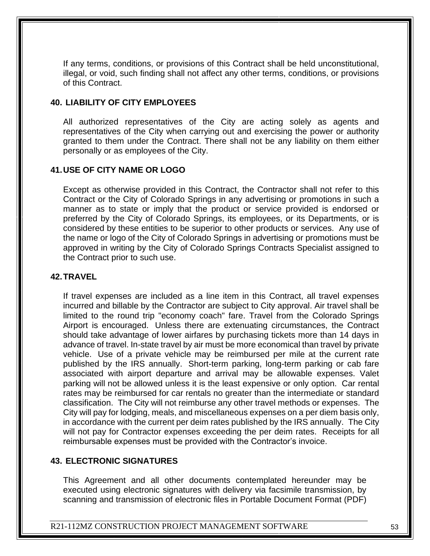If any terms, conditions, or provisions of this Contract shall be held unconstitutional, illegal, or void, such finding shall not affect any other terms, conditions, or provisions of this Contract.

#### **40. LIABILITY OF CITY EMPLOYEES**

All authorized representatives of the City are acting solely as agents and representatives of the City when carrying out and exercising the power or authority granted to them under the Contract. There shall not be any liability on them either personally or as employees of the City.

### **41.USE OF CITY NAME OR LOGO**

Except as otherwise provided in this Contract, the Contractor shall not refer to this Contract or the City of Colorado Springs in any advertising or promotions in such a manner as to state or imply that the product or service provided is endorsed or preferred by the City of Colorado Springs, its employees, or its Departments, or is considered by these entities to be superior to other products or services. Any use of the name or logo of the City of Colorado Springs in advertising or promotions must be approved in writing by the City of Colorado Springs Contracts Specialist assigned to the Contract prior to such use.

#### **42.TRAVEL**

If travel expenses are included as a line item in this Contract, all travel expenses incurred and billable by the Contractor are subject to City approval. Air travel shall be limited to the round trip "economy coach" fare. Travel from the Colorado Springs Airport is encouraged. Unless there are extenuating circumstances, the Contract should take advantage of lower airfares by purchasing tickets more than 14 days in advance of travel. In-state travel by air must be more economical than travel by private vehicle. Use of a private vehicle may be reimbursed per mile at the current rate published by the IRS annually. Short-term parking, long-term parking or cab fare associated with airport departure and arrival may be allowable expenses. Valet parking will not be allowed unless it is the least expensive or only option. Car rental rates may be reimbursed for car rentals no greater than the intermediate or standard classification. The City will not reimburse any other travel methods or expenses. The City will pay for lodging, meals, and miscellaneous expenses on a per diem basis only, in accordance with the current per deim rates published by the IRS annually. The City will not pay for Contractor expenses exceeding the per deim rates. Receipts for all reimbursable expenses must be provided with the Contractor's invoice.

#### **43. ELECTRONIC SIGNATURES**

This Agreement and all other documents contemplated hereunder may be executed using electronic signatures with delivery via facsimile transmission, by scanning and transmission of electronic files in Portable Document Format (PDF)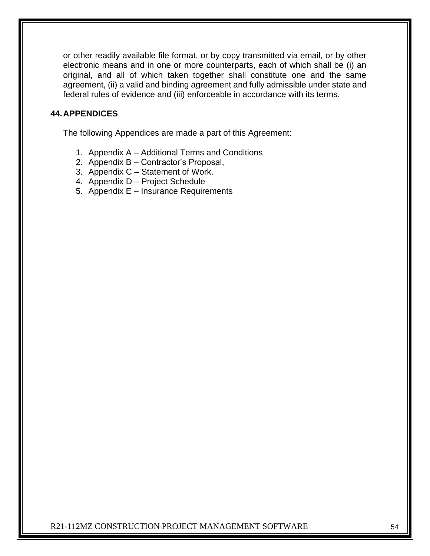or other readily available file format, or by copy transmitted via email, or by other electronic means and in one or more counterparts, each of which shall be (i) an original, and all of which taken together shall constitute one and the same agreement, (ii) a valid and binding agreement and fully admissible under state and federal rules of evidence and (iii) enforceable in accordance with its terms.

# **44.APPENDICES**

The following Appendices are made a part of this Agreement:

- 1. Appendix A Additional Terms and Conditions
- 2. Appendix B Contractor's Proposal,
- 3. Appendix C Statement of Work.
- 4. Appendix D Project Schedule
- 5. Appendix E Insurance Requirements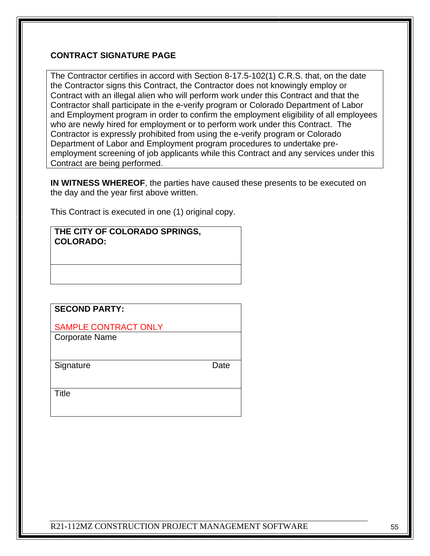# **CONTRACT SIGNATURE PAGE**

The Contractor certifies in accord with Section 8-17.5-102(1) C.R.S. that, on the date the Contractor signs this Contract, the Contractor does not knowingly employ or Contract with an illegal alien who will perform work under this Contract and that the Contractor shall participate in the e-verify program or Colorado Department of Labor and Employment program in order to confirm the employment eligibility of all employees who are newly hired for employment or to perform work under this Contract. The Contractor is expressly prohibited from using the e-verify program or Colorado Department of Labor and Employment program procedures to undertake preemployment screening of job applicants while this Contract and any services under this Contract are being performed.

**IN WITNESS WHEREOF**, the parties have caused these presents to be executed on the day and the year first above written.

This Contract is executed in one (1) original copy.

| THE CITY OF COLORADO SPRINGS, |
|-------------------------------|
| <b>COLORADO:</b>              |

| <b>SECOND PARTY:</b>        |
|-----------------------------|
| <b>SAMPLE CONTRACT ONLY</b> |
| <b>Corporate Name</b>       |
|                             |
| Signature<br>Date           |
|                             |
| Title                       |
|                             |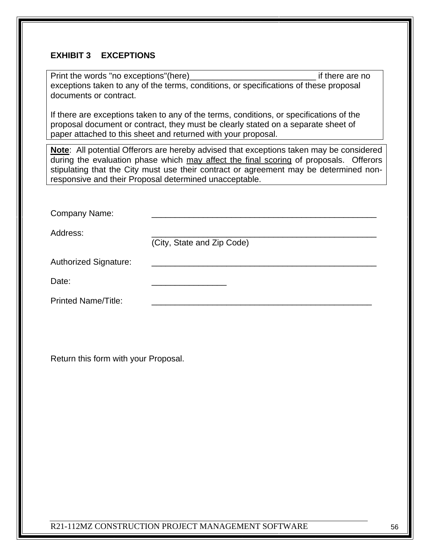# **EXHIBIT 3 EXCEPTIONS**

| Print the words "no exceptions"(here)<br>if there are no<br>exceptions taken to any of the terms, conditions, or specifications of these proposal<br>documents or contract.                                                                                                                                                         |  |  |  |  |  |
|-------------------------------------------------------------------------------------------------------------------------------------------------------------------------------------------------------------------------------------------------------------------------------------------------------------------------------------|--|--|--|--|--|
| If there are exceptions taken to any of the terms, conditions, or specifications of the<br>proposal document or contract, they must be clearly stated on a separate sheet of<br>paper attached to this sheet and returned with your proposal.                                                                                       |  |  |  |  |  |
| Note: All potential Offerors are hereby advised that exceptions taken may be considered<br>during the evaluation phase which may affect the final scoring of proposals. Offerors<br>stipulating that the City must use their contract or agreement may be determined non-<br>responsive and their Proposal determined unacceptable. |  |  |  |  |  |
|                                                                                                                                                                                                                                                                                                                                     |  |  |  |  |  |
| Company Name:                                                                                                                                                                                                                                                                                                                       |  |  |  |  |  |
| Address:<br>(City, State and Zip Code)                                                                                                                                                                                                                                                                                              |  |  |  |  |  |
| <b>Authorized Signature:</b>                                                                                                                                                                                                                                                                                                        |  |  |  |  |  |
| Date:                                                                                                                                                                                                                                                                                                                               |  |  |  |  |  |
| <b>Printed Name/Title:</b>                                                                                                                                                                                                                                                                                                          |  |  |  |  |  |
|                                                                                                                                                                                                                                                                                                                                     |  |  |  |  |  |
| Return this form with your Proposal.                                                                                                                                                                                                                                                                                                |  |  |  |  |  |
|                                                                                                                                                                                                                                                                                                                                     |  |  |  |  |  |
|                                                                                                                                                                                                                                                                                                                                     |  |  |  |  |  |
|                                                                                                                                                                                                                                                                                                                                     |  |  |  |  |  |
|                                                                                                                                                                                                                                                                                                                                     |  |  |  |  |  |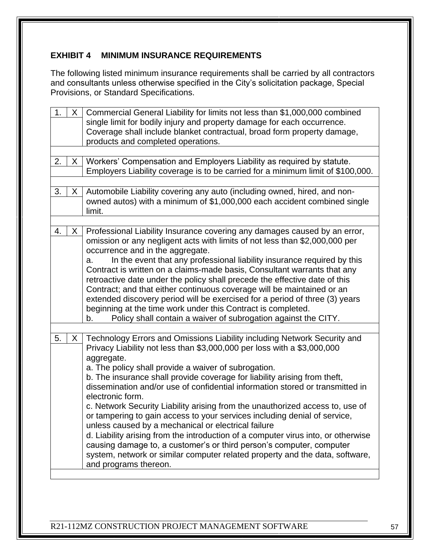# **EXHIBIT 4 MINIMUM INSURANCE REQUIREMENTS**

The following listed minimum insurance requirements shall be carried by all contractors and consultants unless otherwise specified in the City's solicitation package, Special Provisions, or Standard Specifications.

| 1.                                                                                | X.                                                                              | Commercial General Liability for limits not less than \$1,000,000 combined        |  |  |  |  |  |  |
|-----------------------------------------------------------------------------------|---------------------------------------------------------------------------------|-----------------------------------------------------------------------------------|--|--|--|--|--|--|
|                                                                                   |                                                                                 | single limit for bodily injury and property damage for each occurrence.           |  |  |  |  |  |  |
|                                                                                   | Coverage shall include blanket contractual, broad form property damage,         |                                                                                   |  |  |  |  |  |  |
| products and completed operations.                                                |                                                                                 |                                                                                   |  |  |  |  |  |  |
|                                                                                   |                                                                                 |                                                                                   |  |  |  |  |  |  |
| Workers' Compensation and Employers Liability as required by statute.<br>2.<br>X. |                                                                                 |                                                                                   |  |  |  |  |  |  |
|                                                                                   | Employers Liability coverage is to be carried for a minimum limit of \$100,000. |                                                                                   |  |  |  |  |  |  |
|                                                                                   |                                                                                 |                                                                                   |  |  |  |  |  |  |
| 3.                                                                                | X.                                                                              | Automobile Liability covering any auto (including owned, hired, and non-          |  |  |  |  |  |  |
|                                                                                   |                                                                                 | owned autos) with a minimum of \$1,000,000 each accident combined single          |  |  |  |  |  |  |
|                                                                                   |                                                                                 | limit.                                                                            |  |  |  |  |  |  |
|                                                                                   |                                                                                 |                                                                                   |  |  |  |  |  |  |
| 4.                                                                                | X.                                                                              | Professional Liability Insurance covering any damages caused by an error,         |  |  |  |  |  |  |
|                                                                                   |                                                                                 | omission or any negligent acts with limits of not less than \$2,000,000 per       |  |  |  |  |  |  |
|                                                                                   |                                                                                 | occurrence and in the aggregate.                                                  |  |  |  |  |  |  |
|                                                                                   |                                                                                 | In the event that any professional liability insurance required by this<br>a.     |  |  |  |  |  |  |
|                                                                                   |                                                                                 | Contract is written on a claims-made basis, Consultant warrants that any          |  |  |  |  |  |  |
|                                                                                   |                                                                                 |                                                                                   |  |  |  |  |  |  |
|                                                                                   |                                                                                 | retroactive date under the policy shall precede the effective date of this        |  |  |  |  |  |  |
|                                                                                   |                                                                                 | Contract; and that either continuous coverage will be maintained or an            |  |  |  |  |  |  |
|                                                                                   |                                                                                 | extended discovery period will be exercised for a period of three (3) years       |  |  |  |  |  |  |
|                                                                                   |                                                                                 | beginning at the time work under this Contract is completed.                      |  |  |  |  |  |  |
|                                                                                   |                                                                                 | Policy shall contain a waiver of subrogation against the CITY.<br>b.              |  |  |  |  |  |  |
|                                                                                   |                                                                                 |                                                                                   |  |  |  |  |  |  |
| 5.                                                                                | $X_{-}$                                                                         | Technology Errors and Omissions Liability including Network Security and          |  |  |  |  |  |  |
|                                                                                   |                                                                                 | Privacy Liability not less than \$3,000,000 per loss with a \$3,000,000           |  |  |  |  |  |  |
|                                                                                   |                                                                                 | aggregate.                                                                        |  |  |  |  |  |  |
|                                                                                   |                                                                                 | a. The policy shall provide a waiver of subrogation.                              |  |  |  |  |  |  |
|                                                                                   |                                                                                 | b. The insurance shall provide coverage for liability arising from theft,         |  |  |  |  |  |  |
|                                                                                   |                                                                                 | dissemination and/or use of confidential information stored or transmitted in     |  |  |  |  |  |  |
|                                                                                   |                                                                                 | electronic form.                                                                  |  |  |  |  |  |  |
|                                                                                   |                                                                                 | c. Network Security Liability arising from the unauthorized access to, use of     |  |  |  |  |  |  |
|                                                                                   |                                                                                 | or tampering to gain access to your services including denial of service          |  |  |  |  |  |  |
|                                                                                   |                                                                                 | unless caused by a mechanical or electrical failure                               |  |  |  |  |  |  |
|                                                                                   |                                                                                 |                                                                                   |  |  |  |  |  |  |
|                                                                                   |                                                                                 | d. Liability arising from the introduction of a computer virus into, or otherwise |  |  |  |  |  |  |
|                                                                                   |                                                                                 | causing damage to, a customer's or third person's computer, computer              |  |  |  |  |  |  |
|                                                                                   |                                                                                 | system, network or similar computer related property and the data, software,      |  |  |  |  |  |  |
|                                                                                   |                                                                                 | and programs thereon.                                                             |  |  |  |  |  |  |
|                                                                                   |                                                                                 |                                                                                   |  |  |  |  |  |  |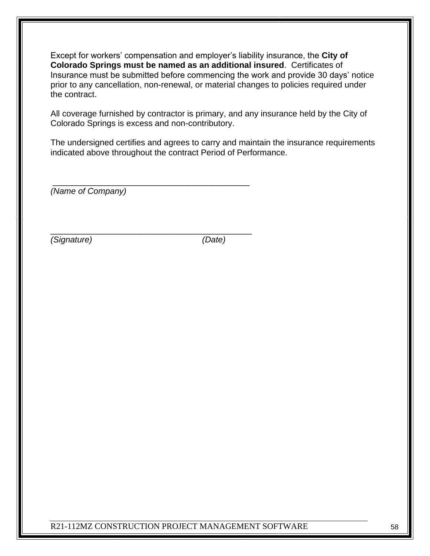Except for workers' compensation and employer's liability insurance, the **City of Colorado Springs must be named as an additional insured**. Certificates of Insurance must be submitted before commencing the work and provide 30 days' notice prior to any cancellation, non-renewal, or material changes to policies required under the contract.

All coverage furnished by contractor is primary, and any insurance held by the City of Colorado Springs is excess and non-contributory.

The undersigned certifies and agrees to carry and maintain the insurance requirements indicated above throughout the contract Period of Performance.

*(Name of Company)*

\_\_\_\_\_\_\_\_\_\_\_\_\_\_\_\_\_\_\_\_\_\_\_\_\_\_\_\_\_\_\_\_\_\_\_\_\_\_\_\_\_\_

\_\_\_\_\_\_\_\_\_\_\_\_\_\_\_\_\_\_\_\_\_\_\_\_\_\_\_\_\_\_\_\_\_\_\_\_\_\_\_\_\_\_\_

*(Signature) (Date)*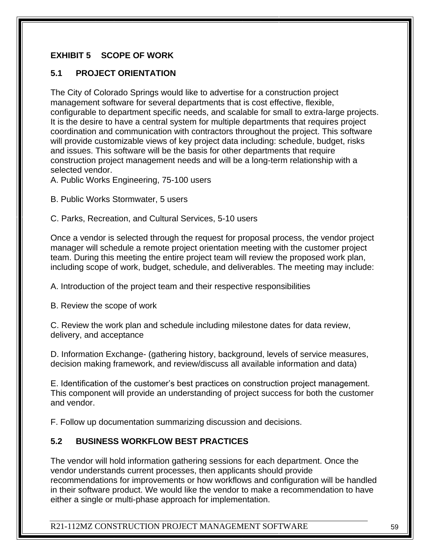# **EXHIBIT 5 SCOPE OF WORK**

# **5.1 PROJECT ORIENTATION**

The City of Colorado Springs would like to advertise for a construction project management software for several departments that is cost effective, flexible, configurable to department specific needs, and scalable for small to extra-large projects. It is the desire to have a central system for multiple departments that requires project coordination and communication with contractors throughout the project. This software will provide customizable views of key project data including: schedule, budget, risks and issues. This software will be the basis for other departments that require construction project management needs and will be a long-term relationship with a selected vendor.

A. Public Works Engineering, 75-100 users

B. Public Works Stormwater, 5 users

C. Parks, Recreation, and Cultural Services, 5-10 users

Once a vendor is selected through the request for proposal process, the vendor project manager will schedule a remote project orientation meeting with the customer project team. During this meeting the entire project team will review the proposed work plan, including scope of work, budget, schedule, and deliverables. The meeting may include:

A. Introduction of the project team and their respective responsibilities

B. Review the scope of work

C. Review the work plan and schedule including milestone dates for data review, delivery, and acceptance

D. Information Exchange- (gathering history, background, levels of service measures, decision making framework, and review/discuss all available information and data)

E. Identification of the customer's best practices on construction project management. This component will provide an understanding of project success for both the customer and vendor.

F. Follow up documentation summarizing discussion and decisions.

# **5.2 BUSINESS WORKFLOW BEST PRACTICES**

The vendor will hold information gathering sessions for each department. Once the vendor understands current processes, then applicants should provide recommendations for improvements or how workflows and configuration will be handled in their software product. We would like the vendor to make a recommendation to have either a single or multi-phase approach for implementation.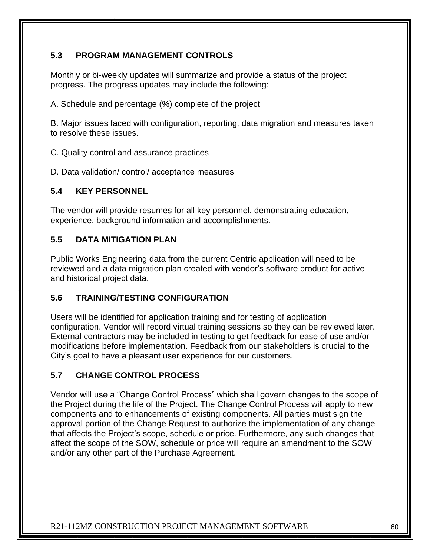# **5.3 PROGRAM MANAGEMENT CONTROLS**

Monthly or bi-weekly updates will summarize and provide a status of the project progress. The progress updates may include the following:

A. Schedule and percentage (%) complete of the project

B. Major issues faced with configuration, reporting, data migration and measures taken to resolve these issues.

C. Quality control and assurance practices

D. Data validation/ control/ acceptance measures

# **5.4 KEY PERSONNEL**

The vendor will provide resumes for all key personnel, demonstrating education, experience, background information and accomplishments.

# **5.5 DATA MITIGATION PLAN**

Public Works Engineering data from the current Centric application will need to be reviewed and a data migration plan created with vendor's software product for active and historical project data.

# **5.6 TRAINING/TESTING CONFIGURATION**

Users will be identified for application training and for testing of application configuration. Vendor will record virtual training sessions so they can be reviewed later. External contractors may be included in testing to get feedback for ease of use and/or modifications before implementation. Feedback from our stakeholders is crucial to the City's goal to have a pleasant user experience for our customers.

# **5.7 CHANGE CONTROL PROCESS**

Vendor will use a "Change Control Process" which shall govern changes to the scope of the Project during the life of the Project. The Change Control Process will apply to new components and to enhancements of existing components. All parties must sign the approval portion of the Change Request to authorize the implementation of any change that affects the Project's scope, schedule or price. Furthermore, any such changes that affect the scope of the SOW, schedule or price will require an amendment to the SOW and/or any other part of the Purchase Agreement.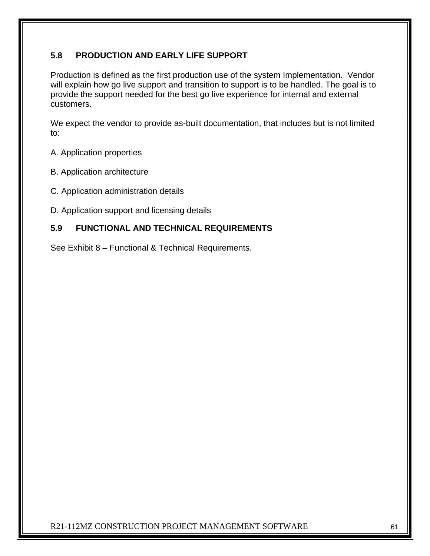# **5.8 PRODUCTION AND EARLY LIFE SUPPORT**

Production is defined as the first production use of the system Implementation. Vendor will explain how go live support and transition to support is to be handled. The goal is to provide the support needed for the best go live experience for internal and external customers.

We expect the vendor to provide as-built documentation, that includes but is not limited to:

- A. Application properties
- B. Application architecture
- C. Application administration details
- D. Application support and licensing details

# **5.9 FUNCTIONAL AND TECHNICAL REQUIREMENTS**

See Exhibit 8 – Functional & Technical Requirements.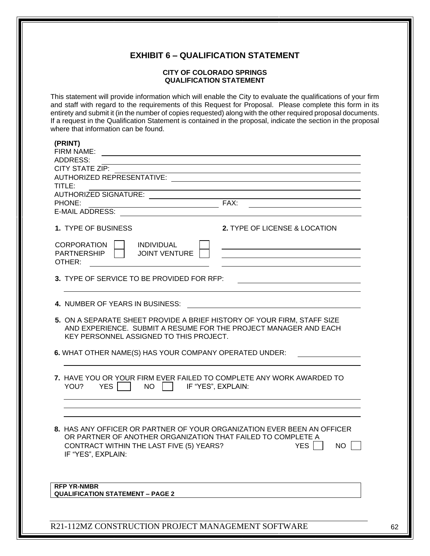#### **EXHIBIT 6 – QUALIFICATION STATEMENT**

#### **CITY OF COLORADO SPRINGS QUALIFICATION STATEMENT**

This statement will provide information which will enable the City to evaluate the qualifications of your firm and staff with regard to the requirements of this Request for Proposal. Please complete this form in its entirety and submit it (in the number of copies requested) along with the other required proposal documents. If a request in the Qualification Statement is contained in the proposal, indicate the section in the proposal where that information can be found.

| (PRINT)<br>FIRM NAME:                                                                                   |                               |
|---------------------------------------------------------------------------------------------------------|-------------------------------|
| <b>ADDRESS:</b>                                                                                         |                               |
| CITY STATE ZIP:<br>AUTHORIZED REPRESENTATIVE:                                                           |                               |
| TITLE:                                                                                                  |                               |
| <b>AUTHORIZED SIGNATURE:</b>                                                                            |                               |
| PHONE:                                                                                                  | FAX:                          |
| <b>E-MAIL ADDRESS:</b>                                                                                  |                               |
| 1. TYPE OF BUSINESS                                                                                     | 2. TYPE OF LICENSE & LOCATION |
| <b>CORPORATION</b><br><b>INDIVIDUAL</b>                                                                 |                               |
| <b>PARTNERSHIP</b><br><b>JOINT VENTURE</b>                                                              |                               |
| OTHER:                                                                                                  |                               |
| 3. TYPE OF SERVICE TO BE PROVIDED FOR RFP:                                                              |                               |
| 4. NUMBER OF YEARS IN BUSINESS:                                                                         |                               |
| 5. ON A SEPARATE SHEET PROVIDE A BRIEF HISTORY OF YOUR FIRM, STAFF SIZE                                 |                               |
| AND EXPERIENCE. SUBMIT A RESUME FOR THE PROJECT MANAGER AND EACH                                        |                               |
| KEY PERSONNEL ASSIGNED TO THIS PROJECT.                                                                 |                               |
| 6. WHAT OTHER NAME(S) HAS YOUR COMPANY OPERATED UNDER:                                                  |                               |
|                                                                                                         |                               |
| 7. HAVE YOU OR YOUR FIRM EVER FAILED TO COMPLETE ANY WORK AWARDED TO<br><b>YES</b><br><b>NO</b><br>YOU? | IF "YES", EXPLAIN:            |
|                                                                                                         |                               |
|                                                                                                         |                               |
| 8. HAS ANY OFFICER OR PARTNER OF YOUR ORGANIZATION EVER BEEN AN OFFICER                                 |                               |
| OR PARTNER OF ANOTHER ORGANIZATION THAT FAILED TO COMPLETE A                                            |                               |
| CONTRACT WITHIN THE LAST FIVE (5) YEARS?                                                                | <b>YES</b><br>NO              |
| IF "YES", EXPLAIN:                                                                                      |                               |
|                                                                                                         |                               |
| <b>RFP YR-NMBR</b>                                                                                      |                               |
| <b>QUALIFICATION STATEMENT - PAGE 2</b>                                                                 |                               |
|                                                                                                         |                               |
|                                                                                                         |                               |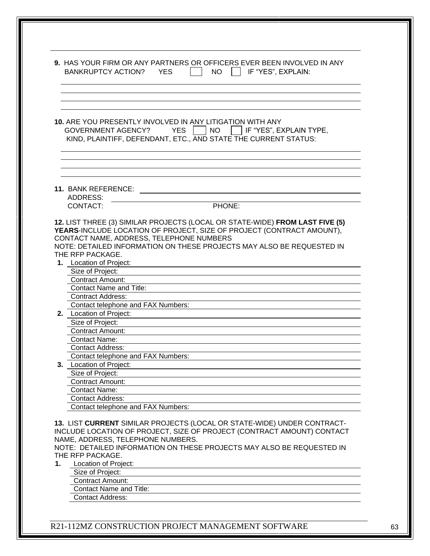|    | 9. HAS YOUR FIRM OR ANY PARTNERS OR OFFICERS EVER BEEN INVOLVED IN ANY<br><b>BANKRUPTCY ACTION?</b><br><b>YES</b><br>NO<br>IF "YES", EXPLAIN:                                                                                                                                       |
|----|-------------------------------------------------------------------------------------------------------------------------------------------------------------------------------------------------------------------------------------------------------------------------------------|
|    |                                                                                                                                                                                                                                                                                     |
|    | 10. ARE YOU PRESENTLY INVOLVED IN ANY LITIGATION WITH ANY<br><b>YES</b><br><b>NO</b><br>IF "YES", EXPLAIN TYPE,<br><b>GOVERNMENT AGENCY?</b><br>KIND, PLAINTIFF, DEFENDANT, ETC., AND STATE THE CURRENT STATUS:                                                                     |
|    | <b>11. BANK REFERENCE:</b>                                                                                                                                                                                                                                                          |
|    | ADDRESS:                                                                                                                                                                                                                                                                            |
|    | PHONE:<br>CONTACT:                                                                                                                                                                                                                                                                  |
|    | CONTACT NAME, ADDRESS, TELEPHONE NUMBERS<br>NOTE: DETAILED INFORMATION ON THESE PROJECTS MAY ALSO BE REQUESTED IN<br>THE RFP PACKAGE.<br>1. Location of Project:<br>Size of Project:                                                                                                |
|    | Contract Amount:                                                                                                                                                                                                                                                                    |
|    | <b>Contact Name and Title:</b>                                                                                                                                                                                                                                                      |
|    | <b>Contract Address:</b>                                                                                                                                                                                                                                                            |
|    | Contact telephone and FAX Numbers:                                                                                                                                                                                                                                                  |
|    | 2. Location of Project:<br>Size of Project:                                                                                                                                                                                                                                         |
|    | <b>Contract Amount:</b>                                                                                                                                                                                                                                                             |
|    | <b>Contact Name:</b>                                                                                                                                                                                                                                                                |
|    | <b>Contact Address:</b>                                                                                                                                                                                                                                                             |
|    | Contact telephone and FAX Numbers:                                                                                                                                                                                                                                                  |
|    | 3. Location of Project:                                                                                                                                                                                                                                                             |
|    | Size of Project:<br><b>Contract Amount:</b>                                                                                                                                                                                                                                         |
|    | <b>Contact Name:</b>                                                                                                                                                                                                                                                                |
|    | <b>Contact Address:</b>                                                                                                                                                                                                                                                             |
|    | Contact telephone and FAX Numbers:                                                                                                                                                                                                                                                  |
| 1. | 13. LIST CURRENT SIMILAR PROJECTS (LOCAL OR STATE-WIDE) UNDER CONTRACT-<br>INCLUDE LOCATION OF PROJECT, SIZE OF PROJECT (CONTRACT AMOUNT) CONTACT<br>NAME, ADDRESS, TELEPHONE NUMBERS.<br>NOTE: DETAILED INFORMATION ON THESE PROJECTS MAY ALSO BE REQUESTED IN<br>THE RFP PACKAGE. |
|    | Size of Project:                                                                                                                                                                                                                                                                    |
|    | <b>Contract Amount:</b>                                                                                                                                                                                                                                                             |
|    | <b>Contact Name and Title:</b>                                                                                                                                                                                                                                                      |
|    | Location of Project:<br><b>Contact Address:</b>                                                                                                                                                                                                                                     |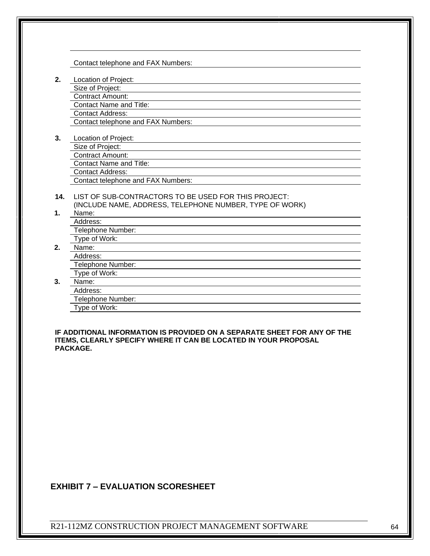Contact telephone and FAX Numbers:

- **2.** Location of Project:
	- Size of Project:
	- Contract Amount:
	- Contact Name and Title:
	- Contact Address: Contact telephone and FAX Numbers:
	-
- **3.** Location of Project:
	- Size of Project:
	- Contract Amount:
	- Contact Name and Title:
	- Contact Address:
	- Contact telephone and FAX Numbers:
- **14.** LIST OF SUB-CONTRACTORS TO BE USED FOR THIS PROJECT: (INCLUDE NAME, ADDRESS, TELEPHONE NUMBER, TYPE OF WORK)
- **1.** Name:
	- Address:
	- Telephone Number:
	- Type of Work:
- **2.** Name:
	- Address:
	- Telephone Number:
	- Type of Work:
- **3.** Name:
	- Address:
	- Telephone Number:
	- Type of Work:

**IF ADDITIONAL INFORMATION IS PROVIDED ON A SEPARATE SHEET FOR ANY OF THE ITEMS, CLEARLY SPECIFY WHERE IT CAN BE LOCATED IN YOUR PROPOSAL PACKAGE.**

#### **EXHIBIT 7 – EVALUATION SCORESHEET**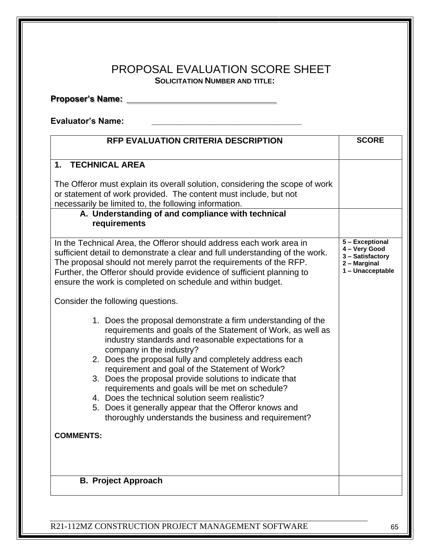# PROPOSAL EVALUATION SCORE SHEET **SOLICITATION NUMBER AND TITLE:**

**Proposer's Name: \_\_\_\_\_\_\_\_\_\_\_\_\_\_\_\_\_\_\_\_\_\_\_\_\_\_\_\_\_\_\_\_**

**Evaluator's Name: \_\_\_\_\_\_\_\_\_\_\_\_\_\_\_\_\_\_\_\_\_\_\_\_\_\_\_\_\_\_\_\_**

| <b>RFP EVALUATION CRITERIA DESCRIPTION</b>                                                                                                                                                                                                                                                                                                                                                                                                                                                                                                                                                                    | <b>SCORE</b>                                                                             |
|---------------------------------------------------------------------------------------------------------------------------------------------------------------------------------------------------------------------------------------------------------------------------------------------------------------------------------------------------------------------------------------------------------------------------------------------------------------------------------------------------------------------------------------------------------------------------------------------------------------|------------------------------------------------------------------------------------------|
| 1. TECHNICAL AREA                                                                                                                                                                                                                                                                                                                                                                                                                                                                                                                                                                                             |                                                                                          |
| The Offeror must explain its overall solution, considering the scope of work<br>or statement of work provided. The content must include, but not<br>necessarily be limited to, the following information.                                                                                                                                                                                                                                                                                                                                                                                                     |                                                                                          |
| A. Understanding of and compliance with technical<br>requirements                                                                                                                                                                                                                                                                                                                                                                                                                                                                                                                                             |                                                                                          |
| In the Technical Area, the Offeror should address each work area in<br>sufficient detail to demonstrate a clear and full understanding of the work.<br>The proposal should not merely parrot the requirements of the RFP.<br>Further, the Offeror should provide evidence of sufficient planning to<br>ensure the work is completed on schedule and within budget.                                                                                                                                                                                                                                            | 5 - Exceptional<br>4 - Very Good<br>3 - Satisfactory<br>2 - Marginal<br>1 - Unacceptable |
| Consider the following questions.                                                                                                                                                                                                                                                                                                                                                                                                                                                                                                                                                                             |                                                                                          |
| 1. Does the proposal demonstrate a firm understanding of the<br>requirements and goals of the Statement of Work, as well as<br>industry standards and reasonable expectations for a<br>company in the industry?<br>2. Does the proposal fully and completely address each<br>requirement and goal of the Statement of Work?<br>3. Does the proposal provide solutions to indicate that<br>requirements and goals will be met on schedule?<br>4. Does the technical solution seem realistic?<br>5. Does it generally appear that the Offeror knows and<br>thoroughly understands the business and requirement? |                                                                                          |
| <b>COMMENTS:</b>                                                                                                                                                                                                                                                                                                                                                                                                                                                                                                                                                                                              |                                                                                          |
| <b>B. Project Approach</b>                                                                                                                                                                                                                                                                                                                                                                                                                                                                                                                                                                                    |                                                                                          |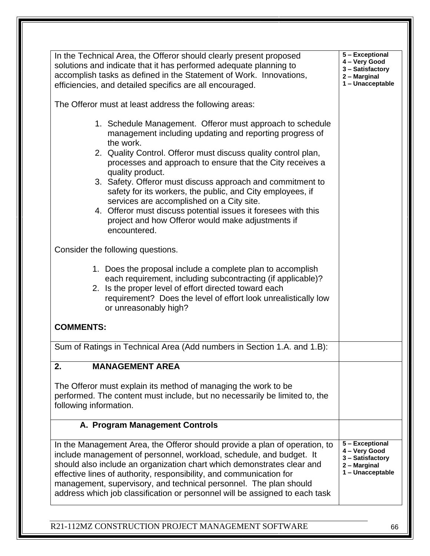| In the Technical Area, the Offeror should clearly present proposed<br>solutions and indicate that it has performed adequate planning to<br>accomplish tasks as defined in the Statement of Work. Innovations,<br>efficiencies, and detailed specifics are all encouraged.                                                                                                                                                                                                                                                                                                                            | 5 - Exceptional<br>4 - Very Good<br>3 - Satisfactory<br>2 - Marginal<br>1 - Unacceptable |
|------------------------------------------------------------------------------------------------------------------------------------------------------------------------------------------------------------------------------------------------------------------------------------------------------------------------------------------------------------------------------------------------------------------------------------------------------------------------------------------------------------------------------------------------------------------------------------------------------|------------------------------------------------------------------------------------------|
| The Offeror must at least address the following areas:                                                                                                                                                                                                                                                                                                                                                                                                                                                                                                                                               |                                                                                          |
| 1. Schedule Management. Offeror must approach to schedule<br>management including updating and reporting progress of<br>the work.<br>2. Quality Control. Offeror must discuss quality control plan,<br>processes and approach to ensure that the City receives a<br>quality product.<br>3. Safety. Offeror must discuss approach and commitment to<br>safety for its workers, the public, and City employees, if<br>services are accomplished on a City site.<br>4. Offeror must discuss potential issues it foresees with this<br>project and how Offeror would make adjustments if<br>encountered. |                                                                                          |
| Consider the following questions.<br>1. Does the proposal include a complete plan to accomplish<br>each requirement, including subcontracting (if applicable)?<br>2. Is the proper level of effort directed toward each<br>requirement? Does the level of effort look unrealistically low<br>or unreasonably high?<br><b>COMMENTS:</b>                                                                                                                                                                                                                                                               |                                                                                          |
| Sum of Ratings in Technical Area (Add numbers in Section 1.A. and 1.B):                                                                                                                                                                                                                                                                                                                                                                                                                                                                                                                              |                                                                                          |
| <b>MANAGEMENT AREA</b><br>2.                                                                                                                                                                                                                                                                                                                                                                                                                                                                                                                                                                         |                                                                                          |
| The Offeror must explain its method of managing the work to be<br>performed. The content must include, but no necessarily be limited to, the<br>following information.                                                                                                                                                                                                                                                                                                                                                                                                                               |                                                                                          |
| A. Program Management Controls                                                                                                                                                                                                                                                                                                                                                                                                                                                                                                                                                                       |                                                                                          |
| In the Management Area, the Offeror should provide a plan of operation, to<br>include management of personnel, workload, schedule, and budget. It<br>should also include an organization chart which demonstrates clear and<br>effective lines of authority, responsibility, and communication for<br>management, supervisory, and technical personnel. The plan should<br>address which job classification or personnel will be assigned to each task                                                                                                                                               | 5 - Exceptional<br>4 - Very Good<br>3 - Satisfactory<br>2 - Marginal<br>1 - Unacceptable |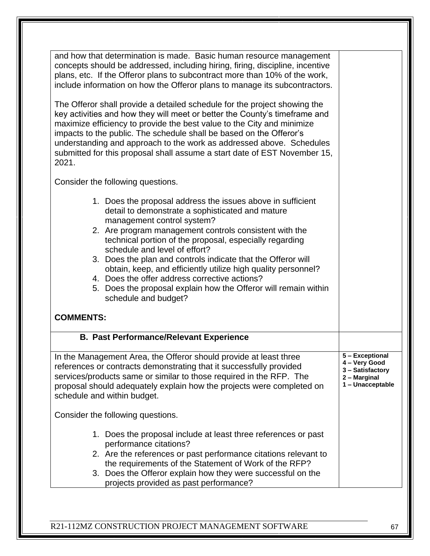| and how that determination is made. Basic human resource management<br>concepts should be addressed, including hiring, firing, discipline, incentive<br>plans, etc. If the Offeror plans to subcontract more than 10% of the work,<br>include information on how the Offeror plans to manage its subcontractors.<br>The Offeror shall provide a detailed schedule for the project showing the<br>key activities and how they will meet or better the County's timeframe and<br>maximize efficiency to provide the best value to the City and minimize<br>impacts to the public. The schedule shall be based on the Offeror's<br>understanding and approach to the work as addressed above. Schedules<br>submitted for this proposal shall assume a start date of EST November 15,<br>2021. |                                                                                          |
|--------------------------------------------------------------------------------------------------------------------------------------------------------------------------------------------------------------------------------------------------------------------------------------------------------------------------------------------------------------------------------------------------------------------------------------------------------------------------------------------------------------------------------------------------------------------------------------------------------------------------------------------------------------------------------------------------------------------------------------------------------------------------------------------|------------------------------------------------------------------------------------------|
| Consider the following questions.                                                                                                                                                                                                                                                                                                                                                                                                                                                                                                                                                                                                                                                                                                                                                          |                                                                                          |
| 1. Does the proposal address the issues above in sufficient<br>detail to demonstrate a sophisticated and mature<br>management control system?<br>2. Are program management controls consistent with the<br>technical portion of the proposal, especially regarding<br>schedule and level of effort?<br>3. Does the plan and controls indicate that the Offeror will<br>obtain, keep, and efficiently utilize high quality personnel?<br>4. Does the offer address corrective actions?<br>5. Does the proposal explain how the Offeror will remain within<br>schedule and budget?                                                                                                                                                                                                           |                                                                                          |
| <b>COMMENTS:</b>                                                                                                                                                                                                                                                                                                                                                                                                                                                                                                                                                                                                                                                                                                                                                                           |                                                                                          |
| <b>B. Past Performance/Relevant Experience</b>                                                                                                                                                                                                                                                                                                                                                                                                                                                                                                                                                                                                                                                                                                                                             |                                                                                          |
| In the Management Area, the Offeror should provide at least three<br>references or contracts demonstrating that it successfully provided<br>services/products same or similar to those required in the RFP. The<br>proposal should adequately explain how the projects were completed on<br>schedule and within budget.                                                                                                                                                                                                                                                                                                                                                                                                                                                                    | 5 - Exceptional<br>4 - Very Good<br>3 - Satisfactory<br>2 - Marginal<br>1 - Unacceptable |
| Consider the following questions.                                                                                                                                                                                                                                                                                                                                                                                                                                                                                                                                                                                                                                                                                                                                                          |                                                                                          |
| 1. Does the proposal include at least three references or past<br>performance citations?<br>2. Are the references or past performance citations relevant to<br>the requirements of the Statement of Work of the RFP?<br>3. Does the Offeror explain how they were successful on the<br>projects provided as past performance?                                                                                                                                                                                                                                                                                                                                                                                                                                                              |                                                                                          |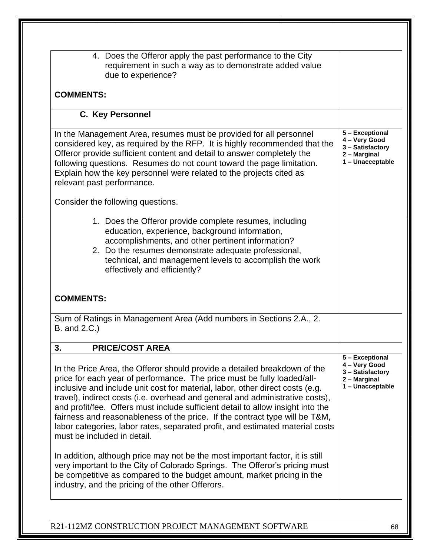| 4. Does the Offeror apply the past performance to the City<br>requirement in such a way as to demonstrate added value<br>due to experience?                                                                                                                                                                                                                                                                                                                                                                                                                                                              |                                                                                          |
|----------------------------------------------------------------------------------------------------------------------------------------------------------------------------------------------------------------------------------------------------------------------------------------------------------------------------------------------------------------------------------------------------------------------------------------------------------------------------------------------------------------------------------------------------------------------------------------------------------|------------------------------------------------------------------------------------------|
| <b>COMMENTS:</b>                                                                                                                                                                                                                                                                                                                                                                                                                                                                                                                                                                                         |                                                                                          |
| C. Key Personnel                                                                                                                                                                                                                                                                                                                                                                                                                                                                                                                                                                                         |                                                                                          |
| In the Management Area, resumes must be provided for all personnel<br>considered key, as required by the RFP. It is highly recommended that the<br>Offeror provide sufficient content and detail to answer completely the<br>following questions. Resumes do not count toward the page limitation.<br>Explain how the key personnel were related to the projects cited as<br>relevant past performance.                                                                                                                                                                                                  | 5 - Exceptional<br>4 - Very Good<br>3 - Satisfactory<br>2 - Marginal<br>1 - Unacceptable |
| Consider the following questions.                                                                                                                                                                                                                                                                                                                                                                                                                                                                                                                                                                        |                                                                                          |
| 1. Does the Offeror provide complete resumes, including<br>education, experience, background information,<br>accomplishments, and other pertinent information?<br>2. Do the resumes demonstrate adequate professional,<br>technical, and management levels to accomplish the work<br>effectively and efficiently?                                                                                                                                                                                                                                                                                        |                                                                                          |
| <b>COMMENTS:</b>                                                                                                                                                                                                                                                                                                                                                                                                                                                                                                                                                                                         |                                                                                          |
| Sum of Ratings in Management Area (Add numbers in Sections 2.A., 2.<br>B. and 2.C.)                                                                                                                                                                                                                                                                                                                                                                                                                                                                                                                      |                                                                                          |
| 3.<br><b>PRICE/COST AREA</b>                                                                                                                                                                                                                                                                                                                                                                                                                                                                                                                                                                             |                                                                                          |
| In the Price Area, the Offeror should provide a detailed breakdown of the<br>price for each year of performance. The price must be fully loaded/all-<br>inclusive and include unit cost for material, labor, other direct costs (e.g.<br>travel), indirect costs (i.e. overhead and general and administrative costs),<br>and profit/fee. Offers must include sufficient detail to allow insight into the<br>fairness and reasonableness of the price. If the contract type will be T&M,<br>labor categories, labor rates, separated profit, and estimated material costs<br>must be included in detail. | 5 - Exceptional<br>4 - Very Good<br>3 - Satisfactory<br>2 - Marginal<br>1 - Unacceptable |
| In addition, although price may not be the most important factor, it is still<br>very important to the City of Colorado Springs. The Offeror's pricing must<br>be competitive as compared to the budget amount, market pricing in the<br>industry, and the pricing of the other Offerors.                                                                                                                                                                                                                                                                                                                |                                                                                          |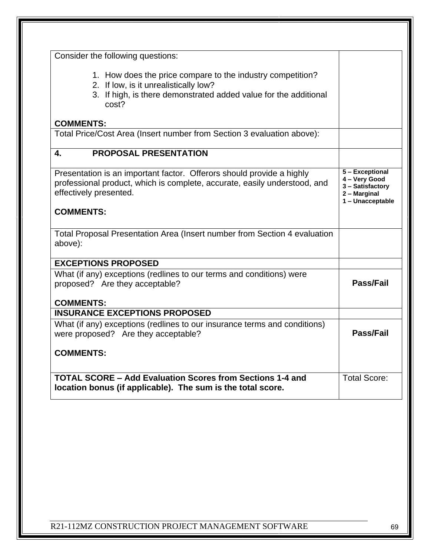| Consider the following questions:                                                                                                                                                |                                                                                          |
|----------------------------------------------------------------------------------------------------------------------------------------------------------------------------------|------------------------------------------------------------------------------------------|
| 1. How does the price compare to the industry competition?<br>2. If low, is it unrealistically low?<br>3. If high, is there demonstrated added value for the additional<br>cost? |                                                                                          |
| <b>COMMENTS:</b>                                                                                                                                                                 |                                                                                          |
| Total Price/Cost Area (Insert number from Section 3 evaluation above):                                                                                                           |                                                                                          |
| <b>PROPOSAL PRESENTATION</b><br>4.                                                                                                                                               |                                                                                          |
| Presentation is an important factor. Offerors should provide a highly<br>professional product, which is complete, accurate, easily understood, and<br>effectively presented.     | 5 - Exceptional<br>4 - Very Good<br>3 - Satisfactory<br>2 - Marginal<br>1 - Unacceptable |
| <b>COMMENTS:</b>                                                                                                                                                                 |                                                                                          |
| Total Proposal Presentation Area (Insert number from Section 4 evaluation<br>above):                                                                                             |                                                                                          |
| <b>EXCEPTIONS PROPOSED</b>                                                                                                                                                       |                                                                                          |
| What (if any) exceptions (redlines to our terms and conditions) were<br>proposed? Are they acceptable?                                                                           | Pass/Fail                                                                                |
| <b>COMMENTS:</b><br><b>INSURANCE EXCEPTIONS PROPOSED</b>                                                                                                                         |                                                                                          |
| What (if any) exceptions (redlines to our insurance terms and conditions)<br>were proposed? Are they acceptable?                                                                 | <b>Pass/Fail</b>                                                                         |
| <b>COMMENTS:</b>                                                                                                                                                                 |                                                                                          |
| <b>TOTAL SCORE - Add Evaluation Scores from Sections 1-4 and</b>                                                                                                                 | <b>Total Score:</b>                                                                      |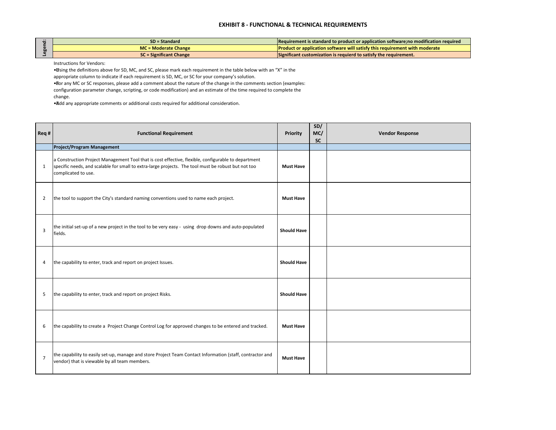| Req #          | <b>Functional Requirement</b>                                                                                                                                                                                                     | <b>Priority</b>    | SD/<br>MC/<br><b>SC</b> | <b>Vendor Response</b> |
|----------------|-----------------------------------------------------------------------------------------------------------------------------------------------------------------------------------------------------------------------------------|--------------------|-------------------------|------------------------|
|                | <b>Project/Program Management</b>                                                                                                                                                                                                 |                    |                         |                        |
| $\mathbf{1}$   | a Construction Project Management Tool that is cost effective, flexible, configurable to department<br>specific needs, and scalable for small to extra-large projects. The tool must be robust but not too<br>complicated to use. | <b>Must Have</b>   |                         |                        |
| $\overline{2}$ | the tool to support the City's standard naming conventions used to name each project.                                                                                                                                             | <b>Must Have</b>   |                         |                        |
| 3              | the initial set-up of a new project in the tool to be very easy - using drop downs and auto-populated<br>fields.                                                                                                                  | <b>Should Have</b> |                         |                        |
| 4              | the capability to enter, track and report on project Issues.                                                                                                                                                                      | <b>Should Have</b> |                         |                        |
| 5              | the capability to enter, track and report on project Risks.                                                                                                                                                                       | <b>Should Have</b> |                         |                        |
| 6              | the capability to create a Project Change Control Log for approved changes to be entered and tracked.                                                                                                                             | <b>Must Have</b>   |                         |                        |
| $\overline{7}$ | the capability to easily set-up, manage and store Project Team Contact Information (staff, contractor and<br>vendor) that is viewable by all team members.                                                                        | <b>Must Have</b>   |                         |                        |
|                |                                                                                                                                                                                                                                   |                    |                         |                        |

| $\bullet$ | $SD = Standard$                | Requirement is standard to product or application software;no modification required  |
|-----------|--------------------------------|--------------------------------------------------------------------------------------|
|           | MC = Moderate Change           | <b>I</b> Product or application software will satisfy this requirement with moderate |
|           | <b>SC</b> = Significant Change | $\blacksquare$ Significant customization is requierd to satisfy the requirement.     |

Instructions for Vendors:

• Using the definitions above for SD, MC, and SC, please mark each requirement in the table below with an "X" in the appropriate column to indicate if each requirement is SD, MC, or SC for your company's solution.

• For any MC or SC responses, please add a comment about the nature of the change in the comments section (examples:

configuration parameter change, scripting, or code modification) and an estimate of the time required to complete the change.

• Add any appropriate comments or additional costs required for additional consideration.

# **EXHIBIT 8 - FUNCTIONAL & TECHNICAL REQUIREMENTS**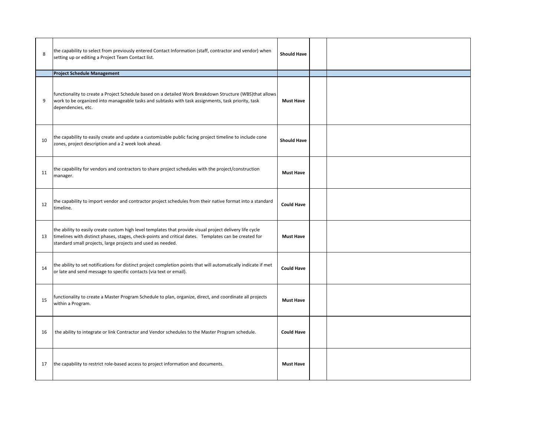| 8  | the capability to select from previously entered Contact Information (staff, contractor and vendor) when<br>setting up or editing a Project Team Contact list.                                                                                                                   | <b>Should Have</b> |  |
|----|----------------------------------------------------------------------------------------------------------------------------------------------------------------------------------------------------------------------------------------------------------------------------------|--------------------|--|
|    | <b>Project Schedule Management</b>                                                                                                                                                                                                                                               |                    |  |
| 9  | functionality to create a Project Schedule based on a detailed Work Breakdown Structure (WBS)that allows<br>work to be organized into manageable tasks and subtasks with task assignments, task priority, task<br>dependencies, etc.                                             | <b>Must Have</b>   |  |
| 10 | the capability to easily create and update a customizable public facing project timeline to include cone<br>zones, project description and a 2 week look ahead.                                                                                                                  | <b>Should Have</b> |  |
| 11 | the capability for vendors and contractors to share project schedules with the project/construction<br>manager.                                                                                                                                                                  | <b>Must Have</b>   |  |
| 12 | the capability to import vendor and contractor project schedules from their native format into a standard<br>timeline.                                                                                                                                                           | <b>Could Have</b>  |  |
| 13 | the ability to easily create custom high level templates that provide visual project delivery life cycle<br>timelines with distinct phases, stages, check-points and critical dates. Templates can be created for<br>standard small projects, large projects and used as needed. | <b>Must Have</b>   |  |
| 14 | the ability to set notifications for distinct project completion points that will automatically indicate if met<br>or late and send message to specific contacts (via text or email).                                                                                            | <b>Could Have</b>  |  |
| 15 | functionality to create a Master Program Schedule to plan, organize, direct, and coordinate all projects<br>within a Program.                                                                                                                                                    | <b>Must Have</b>   |  |
| 16 | the ability to integrate or link Contractor and Vendor schedules to the Master Program schedule.                                                                                                                                                                                 | <b>Could Have</b>  |  |
| 17 | the capability to restrict role-based access to project information and documents.                                                                                                                                                                                               | <b>Must Have</b>   |  |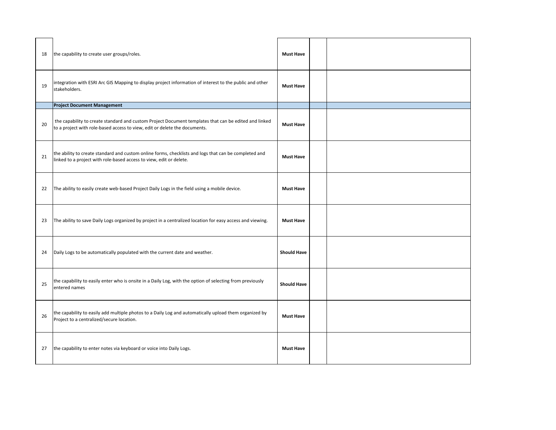| 18 | the capability to create user groups/roles.                                                                                                                                         | <b>Must Have</b>   |  |
|----|-------------------------------------------------------------------------------------------------------------------------------------------------------------------------------------|--------------------|--|
| 19 | integration with ESRI Arc GIS Mapping to display project information of interest to the public and other<br>stakeholders.                                                           | <b>Must Have</b>   |  |
|    | <b>Project Document Management</b>                                                                                                                                                  |                    |  |
| 20 | the capability to create standard and custom Project Document templates that can be edited and linked<br>to a project with role-based access to view, edit or delete the documents. | <b>Must Have</b>   |  |
| 21 | the ability to create standard and custom online forms, checklists and logs that can be completed and<br>linked to a project with role-based access to view, edit or delete.        | <b>Must Have</b>   |  |
| 22 | The ability to easily create web-based Project Daily Logs in the field using a mobile device.                                                                                       | <b>Must Have</b>   |  |
| 23 | The ability to save Daily Logs organized by project in a centralized location for easy access and viewing.                                                                          | <b>Must Have</b>   |  |
| 24 | Daily Logs to be automatically populated with the current date and weather.                                                                                                         | <b>Should Have</b> |  |
| 25 | the capability to easily enter who is onsite in a Daily Log, with the option of selecting from previously<br>entered names                                                          | <b>Should Have</b> |  |
| 26 | the capability to easily add multiple photos to a Daily Log and automatically upload them organized by<br>Project to a centralized/secure location.                                 | <b>Must Have</b>   |  |
| 27 | the capability to enter notes via keyboard or voice into Daily Logs.                                                                                                                | <b>Must Have</b>   |  |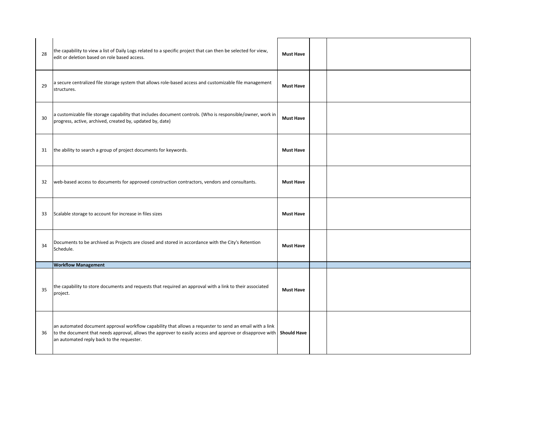| 28 | the capability to view a list of Daily Logs related to a specific project that can then be selected for view,<br>edit or deletion based on role based access.                                                                                                    | <b>Must Have</b>   |  |
|----|------------------------------------------------------------------------------------------------------------------------------------------------------------------------------------------------------------------------------------------------------------------|--------------------|--|
| 29 | a secure centralized file storage system that allows role-based access and customizable file management<br>structures.                                                                                                                                           | <b>Must Have</b>   |  |
| 30 | a customizable file storage capability that includes document controls. (Who is responsible/owner, work in<br>progress, active, archived, created by, updated by, date)                                                                                          | <b>Must Have</b>   |  |
| 31 | the ability to search a group of project documents for keywords.                                                                                                                                                                                                 | <b>Must Have</b>   |  |
| 32 | web-based access to documents for approved construction contractors, vendors and consultants.                                                                                                                                                                    | <b>Must Have</b>   |  |
| 33 | Scalable storage to account for increase in files sizes                                                                                                                                                                                                          | <b>Must Have</b>   |  |
| 34 | Documents to be archived as Projects are closed and stored in accordance with the City's Retention<br>Schedule.                                                                                                                                                  | <b>Must Have</b>   |  |
|    | <b>Workflow Management</b>                                                                                                                                                                                                                                       |                    |  |
| 35 | the capability to store documents and requests that required an approval with a link to their associated<br>project.                                                                                                                                             | <b>Must Have</b>   |  |
| 36 | an automated document approval workflow capability that allows a requester to send an email with a link<br>to the document that needs approval, allows the approver to easily access and approve or disapprove with<br>an automated reply back to the requester. | <b>Should Have</b> |  |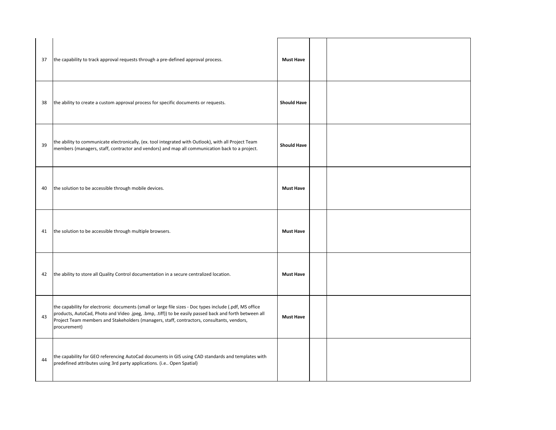| 37 | the capability to track approval requests through a pre-defined approval process.                                                                                                                                                                                                                                               | <b>Must Have</b>   |  |
|----|---------------------------------------------------------------------------------------------------------------------------------------------------------------------------------------------------------------------------------------------------------------------------------------------------------------------------------|--------------------|--|
| 38 | the ability to create a custom approval process for specific documents or requests.                                                                                                                                                                                                                                             | <b>Should Have</b> |  |
| 39 | the ability to communicate electronically, (ex. tool integrated with Outlook), with all Project Team<br>members (managers, staff, contractor and vendors) and map all communication back to a project.                                                                                                                          | <b>Should Have</b> |  |
| 40 | the solution to be accessible through mobile devices.                                                                                                                                                                                                                                                                           | <b>Must Have</b>   |  |
| 41 | the solution to be accessible through multiple browsers.                                                                                                                                                                                                                                                                        | <b>Must Have</b>   |  |
| 42 | the ability to store all Quality Control documentation in a secure centralized location.                                                                                                                                                                                                                                        | <b>Must Have</b>   |  |
| 43 | the capability for electronic documents (small or large file sizes - Doc types include (.pdf, MS office<br>products, AutoCad, Photo and Video .jpeg, .bmp, .tiff)) to be easily passed back and forth between all<br>Project Team members and Stakeholders (managers, staff, contractors, consultants, vendors,<br>procurement) | <b>Must Have</b>   |  |
| 44 | the capability for GEO referencing AutoCad documents in GIS using CAD standards and templates with<br>predefined attributes using 3rd party applications. (i.e Open Spatial)                                                                                                                                                    |                    |  |

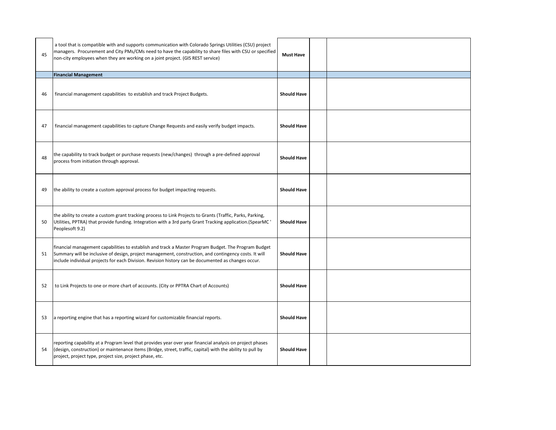| 45  | a tool that is compatible with and supports communication with Colorado Springs Utilities (CSU) project<br>managers. Procurement and City PMs/CMs need to have the capability to share files with CSU or specified<br>non-city employees when they are working on a joint project. (GIS REST service)                | <b>Must Have</b>   |  |
|-----|----------------------------------------------------------------------------------------------------------------------------------------------------------------------------------------------------------------------------------------------------------------------------------------------------------------------|--------------------|--|
|     | <b>Financial Management</b>                                                                                                                                                                                                                                                                                          |                    |  |
| -46 | financial management capabilities to establish and track Project Budgets.                                                                                                                                                                                                                                            | <b>Should Have</b> |  |
| 47  | financial management capabilities to capture Change Requests and easily verify budget impacts.                                                                                                                                                                                                                       | <b>Should Have</b> |  |
| 48  | the capability to track budget or purchase requests (new/changes) through a pre-defined approval<br>process from initiation through approval.                                                                                                                                                                        | <b>Should Have</b> |  |
| -49 | the ability to create a custom approval process for budget impacting requests.                                                                                                                                                                                                                                       | <b>Should Have</b> |  |
| 50  | the ability to create a custom grant tracking process to Link Projects to Grants (Traffic, Parks, Parking,<br>Utilities, PPTRA) that provide funding. Integration with a 3rd party Grant Tracking application. (SpearMC '<br>Peoplesoft 9.2)                                                                         | <b>Should Have</b> |  |
| 51  | financial management capabilities to establish and track a Master Program Budget. The Program Budget<br>Summary will be inclusive of design, project management, construction, and contingency costs. It will<br>include individual projects for each Division. Revision history can be documented as changes occur. | <b>Should Have</b> |  |
| 52  | to Link Projects to one or more chart of accounts. (City or PPTRA Chart of Accounts)                                                                                                                                                                                                                                 | <b>Should Have</b> |  |
| 53  | a reporting engine that has a reporting wizard for customizable financial reports.                                                                                                                                                                                                                                   | <b>Should Have</b> |  |
| 54  | reporting capability at a Program level that provides year over year financial analysis on project phases<br>(design, construction) or maintenance items (Bridge, street, traffic, capital) with the ability to pull by<br>project, project type, project size, project phase, etc.                                  | <b>Should Have</b> |  |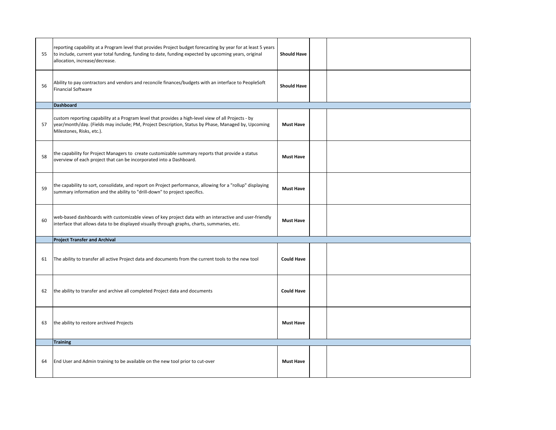| 55 | reporting capability at a Program level that provides Project budget forecasting by year for at least 5 years<br>to include, current year total funding, funding to date, funding expected by upcoming years, original<br>allocation, increase/decrease. | <b>Should Have</b> |  |
|----|----------------------------------------------------------------------------------------------------------------------------------------------------------------------------------------------------------------------------------------------------------|--------------------|--|
| 56 | Ability to pay contractors and vendors and reconcile finances/budgets with an interface to PeopleSoft<br><b>Financial Software</b>                                                                                                                       | <b>Should Have</b> |  |
|    | Dashboard                                                                                                                                                                                                                                                |                    |  |
| 57 | custom reporting capability at a Program level that provides a high-level view of all Projects - by<br>year/month/day. (Fields may include; PM, Project Description, Status by Phase, Managed by, Upcoming<br>Milestones, Risks, etc.).                  | <b>Must Have</b>   |  |
| 58 | the capability for Project Managers to create customizable summary reports that provide a status<br>overview of each project that can be incorporated into a Dashboard.                                                                                  | <b>Must Have</b>   |  |
| 59 | the capability to sort, consolidate, and report on Project performance, allowing for a "rollup" displaying<br>summary information and the ability to "drill-down" to project specifics.                                                                  | <b>Must Have</b>   |  |
| 60 | web-based dashboards with customizable views of key project data with an interactive and user-friendly<br>interface that allows data to be displayed visually through graphs, charts, summaries, etc.                                                    | <b>Must Have</b>   |  |
|    | <b>Project Transfer and Archival</b>                                                                                                                                                                                                                     |                    |  |
| 61 | The ability to transfer all active Project data and documents from the current tools to the new tool                                                                                                                                                     | <b>Could Have</b>  |  |
| 62 | the ability to transfer and archive all completed Project data and documents                                                                                                                                                                             | <b>Could Have</b>  |  |
| 63 | the ability to restore archived Projects                                                                                                                                                                                                                 | <b>Must Have</b>   |  |
|    | <b>Training</b>                                                                                                                                                                                                                                          |                    |  |
| 64 | End User and Admin training to be available on the new tool prior to cut-over                                                                                                                                                                            | <b>Must Have</b>   |  |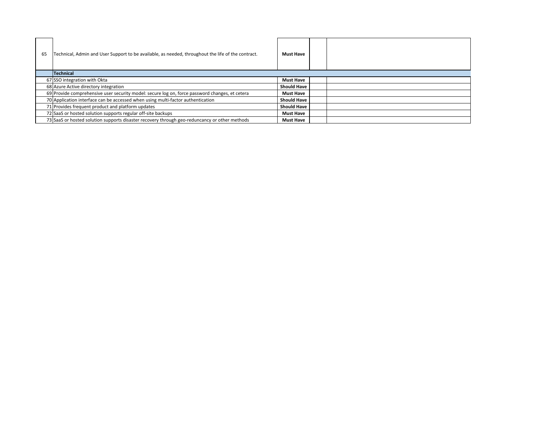| -65 | Technical, Admin and User Support to be available, as needed, throughout the life of the contract. | <b>Must Have</b>   |  |
|-----|----------------------------------------------------------------------------------------------------|--------------------|--|
|     | <b>Technical</b>                                                                                   |                    |  |
|     | 67 SSO integration with Okta                                                                       | <b>Must Have</b>   |  |
|     | 68 Azure Active directory integration                                                              | <b>Should Have</b> |  |
|     | 69 Provide comprehensive user security model: secure log on, force password changes, et cetera     | <b>Must Have</b>   |  |
|     | 70 Application interface can be accessed when using multi-factor authentication                    | <b>Should Have</b> |  |
|     | 71 Provides frequent product and platform updates                                                  | <b>Should Have</b> |  |
|     | 72 SaaS or hosted solution supports regular off-site backups                                       | <b>Must Have</b>   |  |
|     | 73 SaaS or hosted solution supports disaster recovery through geo-reduncancy or other methods      | <b>Must Have</b>   |  |

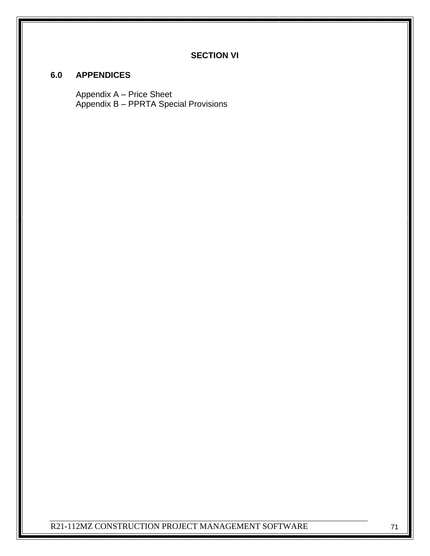## **SECTION VI**

## **6.0 APPENDICES**

Appendix A – Price Sheet Appendix B – PPRTA Special Provisions

R21-112MZ CONSTRUCTION PROJECT MANAGEMENT SOFTWARE 71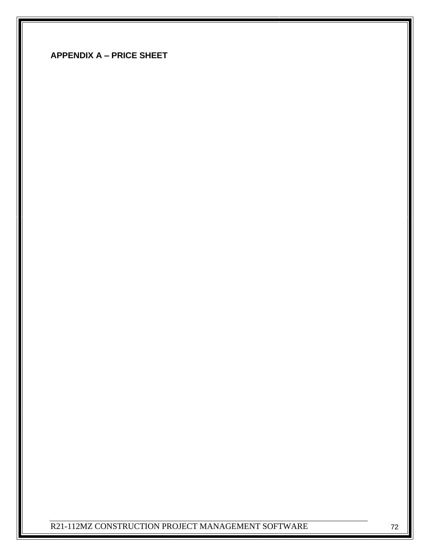| <b>APPENDIX A - PRICE SHEET</b> |  |  |
|---------------------------------|--|--|
|---------------------------------|--|--|

R21-112MZ CONSTRUCTION PROJECT MANAGEMENT SOFTWARE 72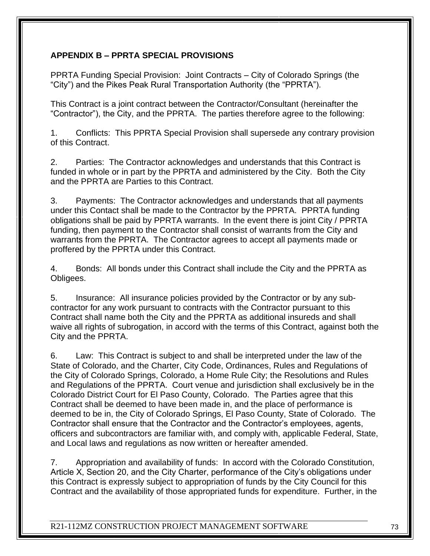## **APPENDIX B – PPRTA SPECIAL PROVISIONS**

PPRTA Funding Special Provision: Joint Contracts – City of Colorado Springs (the "City") and the Pikes Peak Rural Transportation Authority (the "PPRTA").

This Contract is a joint contract between the Contractor/Consultant (hereinafter the "Contractor"), the City, and the PPRTA. The parties therefore agree to the following:

1. Conflicts: This PPRTA Special Provision shall supersede any contrary provision of this Contract.

2. Parties: The Contractor acknowledges and understands that this Contract is funded in whole or in part by the PPRTA and administered by the City. Both the City and the PPRTA are Parties to this Contract.

3. Payments: The Contractor acknowledges and understands that all payments under this Contact shall be made to the Contractor by the PPRTA. PPRTA funding obligations shall be paid by PPRTA warrants. In the event there is joint City / PPRTA funding, then payment to the Contractor shall consist of warrants from the City and warrants from the PPRTA. The Contractor agrees to accept all payments made or proffered by the PPRTA under this Contract.

4. Bonds: All bonds under this Contract shall include the City and the PPRTA as Obligees.

5. Insurance: All insurance policies provided by the Contractor or by any subcontractor for any work pursuant to contracts with the Contractor pursuant to this Contract shall name both the City and the PPRTA as additional insureds and shall waive all rights of subrogation, in accord with the terms of this Contract, against both the City and the PPRTA.

6. Law: This Contract is subject to and shall be interpreted under the law of the State of Colorado, and the Charter, City Code, Ordinances, Rules and Regulations of the City of Colorado Springs, Colorado, a Home Rule City; the Resolutions and Rules and Regulations of the PPRTA. Court venue and jurisdiction shall exclusively be in the Colorado District Court for El Paso County, Colorado. The Parties agree that this Contract shall be deemed to have been made in, and the place of performance is deemed to be in, the City of Colorado Springs, El Paso County, State of Colorado. The Contractor shall ensure that the Contractor and the Contractor's employees, agents, officers and subcontractors are familiar with, and comply with, applicable Federal, State, and Local laws and regulations as now written or hereafter amended.

7. Appropriation and availability of funds: In accord with the Colorado Constitution, Article X, Section 20, and the City Charter, performance of the City's obligations under this Contract is expressly subject to appropriation of funds by the City Council for this Contract and the availability of those appropriated funds for expenditure. Further, in the